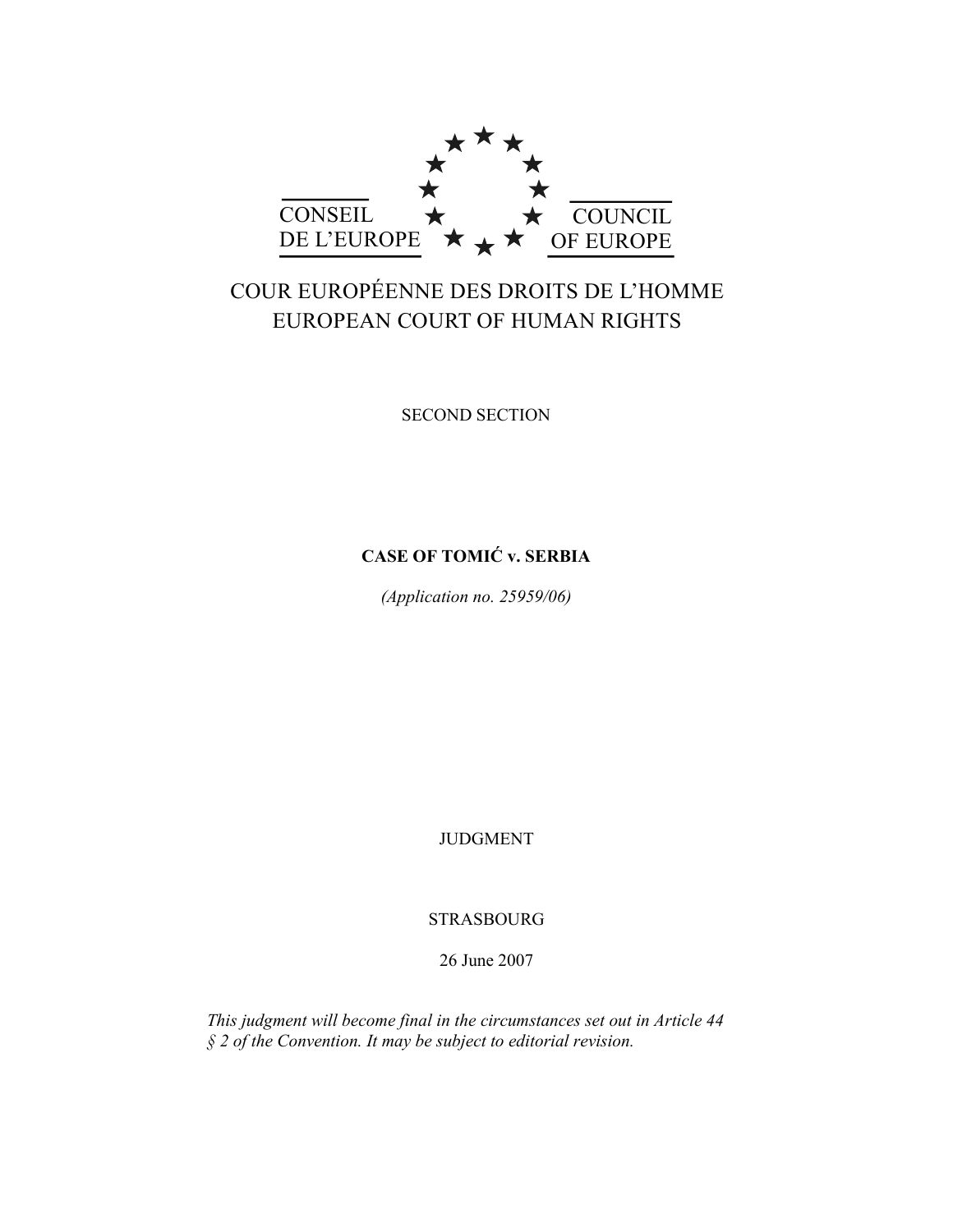

# COUR EUROPÉENNE DES DROITS DE L'HOMME EUROPEAN COURT OF HUMAN RIGHTS

SECOND SECTION

# **CASE OF TOMIĆ v. SERBIA**

*(Application no. 25959/06)* 

JUDGMENT

**STRASBOURG** 

26 June 2007

*This judgment will become final in the circumstances set out in Article 44 § 2 of the Convention. It may be subject to editorial revision.*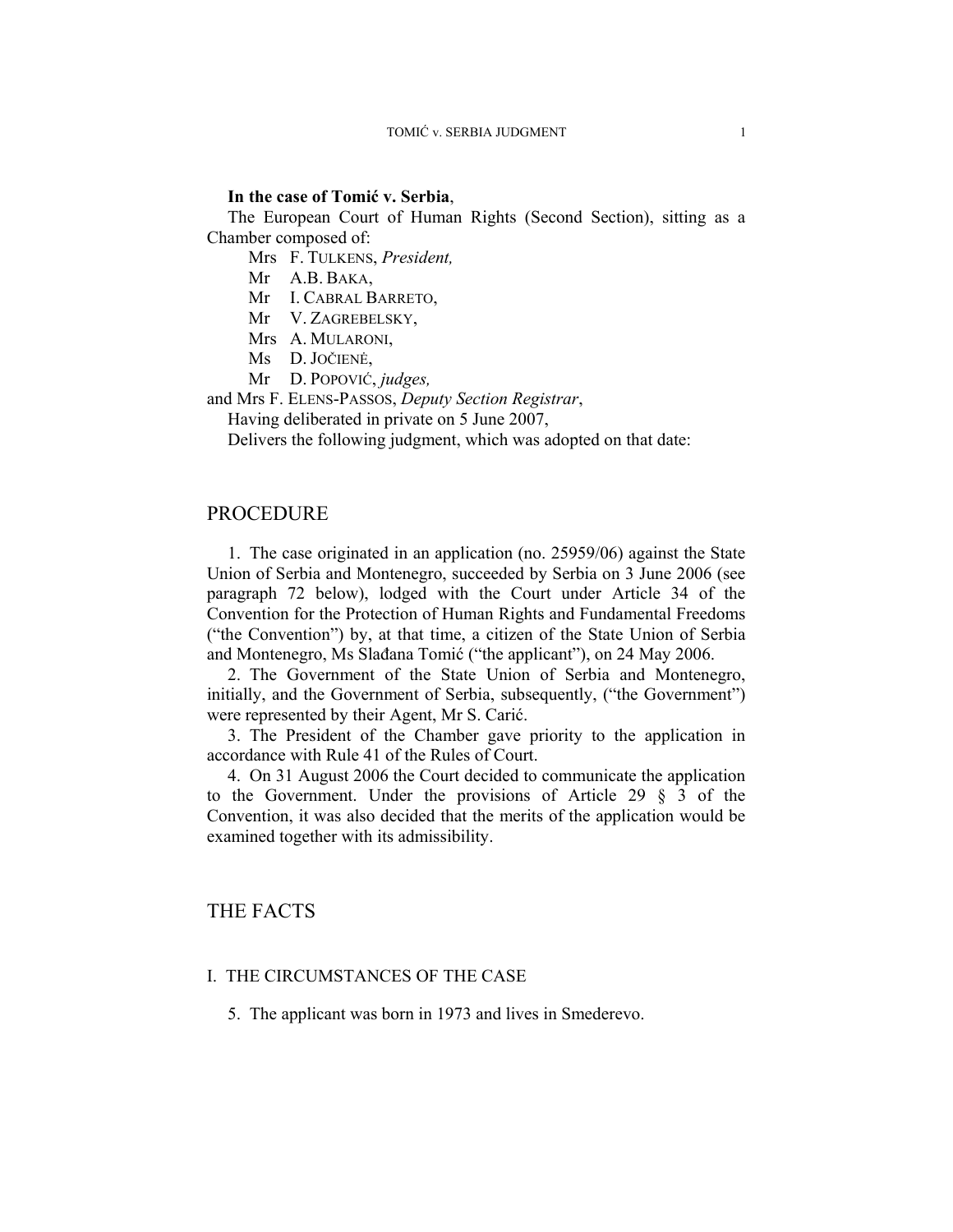## **In the case of Tomić v. Serbia**,

The European Court of Human Rights (Second Section), sitting as a Chamber composed of:

Mrs F. TULKENS, *President,* 

Mr A.B. BAKA,

Mr I. CABRAL BARRETO,

Mr V. ZAGREBELSKY,

Mrs A. MULARONI,

- Ms D. JOČIENĖ,
- Mr D. POPOVIĆ, *judges,*

and Mrs F. ELENS-PASSOS, *Deputy Section Registrar*,

Having deliberated in private on 5 June 2007,

Delivers the following judgment, which was adopted on that date:

## PROCEDURE

1. The case originated in an application (no. 25959/06) against the State Union of Serbia and Montenegro, succeeded by Serbia on 3 June 2006 (see paragraph 72 below), lodged with the Court under Article 34 of the Convention for the Protection of Human Rights and Fundamental Freedoms ("the Convention") by, at that time, a citizen of the State Union of Serbia and Montenegro, Ms Slađana Tomić ("the applicant"), on 24 May 2006.

2. The Government of the State Union of Serbia and Montenegro, initially, and the Government of Serbia, subsequently, ("the Government") were represented by their Agent, Mr S. Carić.

3. The President of the Chamber gave priority to the application in accordance with Rule 41 of the Rules of Court.

4. On 31 August 2006 the Court decided to communicate the application to the Government. Under the provisions of Article 29  $\frac{8}{9}$  3 of the Convention, it was also decided that the merits of the application would be examined together with its admissibility.

# THE FACTS

## I. THE CIRCUMSTANCES OF THE CASE

5. The applicant was born in 1973 and lives in Smederevo.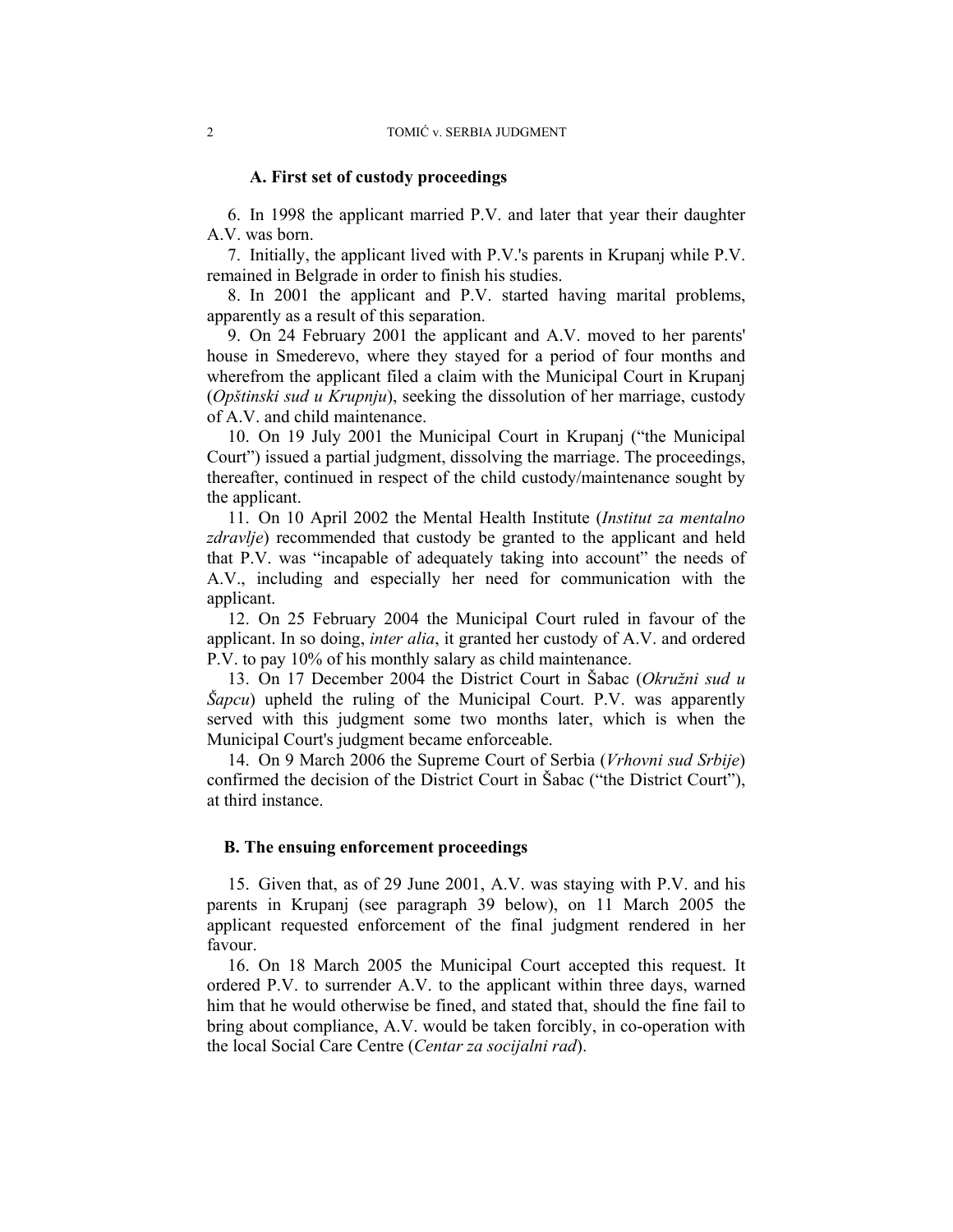#### **A. First set of custody proceedings**

6. In 1998 the applicant married P.V. and later that year their daughter A.V. was born.

7. Initially, the applicant lived with P.V.'s parents in Krupanj while P.V. remained in Belgrade in order to finish his studies.

8. In 2001 the applicant and P.V. started having marital problems, apparently as a result of this separation.

9. On 24 February 2001 the applicant and A.V. moved to her parents' house in Smederevo, where they stayed for a period of four months and wherefrom the applicant filed a claim with the Municipal Court in Krupanj (*Opštinski sud u Krupnju*), seeking the dissolution of her marriage, custody of A.V. and child maintenance.

10. On 19 July 2001 the Municipal Court in Krupanj ("the Municipal Court") issued a partial judgment, dissolving the marriage. The proceedings, thereafter, continued in respect of the child custody/maintenance sought by the applicant.

11. On 10 April 2002 the Mental Health Institute (*Institut za mentalno zdravlje*) recommended that custody be granted to the applicant and held that P.V. was "incapable of adequately taking into account" the needs of A.V., including and especially her need for communication with the applicant.

12. On 25 February 2004 the Municipal Court ruled in favour of the applicant. In so doing, *inter alia*, it granted her custody of A.V. and ordered P.V. to pay 10% of his monthly salary as child maintenance.

13. On 17 December 2004 the District Court in Šabac (*Okružni sud u Šapcu*) upheld the ruling of the Municipal Court. P.V. was apparently served with this judgment some two months later, which is when the Municipal Court's judgment became enforceable.

14. On 9 March 2006 the Supreme Court of Serbia (*Vrhovni sud Srbije*) confirmed the decision of the District Court in Šabac ("the District Court"), at third instance.

## **B. The ensuing enforcement proceedings**

15. Given that, as of 29 June 2001, A.V. was staying with P.V. and his parents in Krupanj (see paragraph 39 below), on 11 March 2005 the applicant requested enforcement of the final judgment rendered in her favour.

16. On 18 March 2005 the Municipal Court accepted this request. It ordered P.V. to surrender A.V. to the applicant within three days, warned him that he would otherwise be fined, and stated that, should the fine fail to bring about compliance, A.V. would be taken forcibly, in co-operation with the local Social Care Centre (*Centar za socijalni rad*).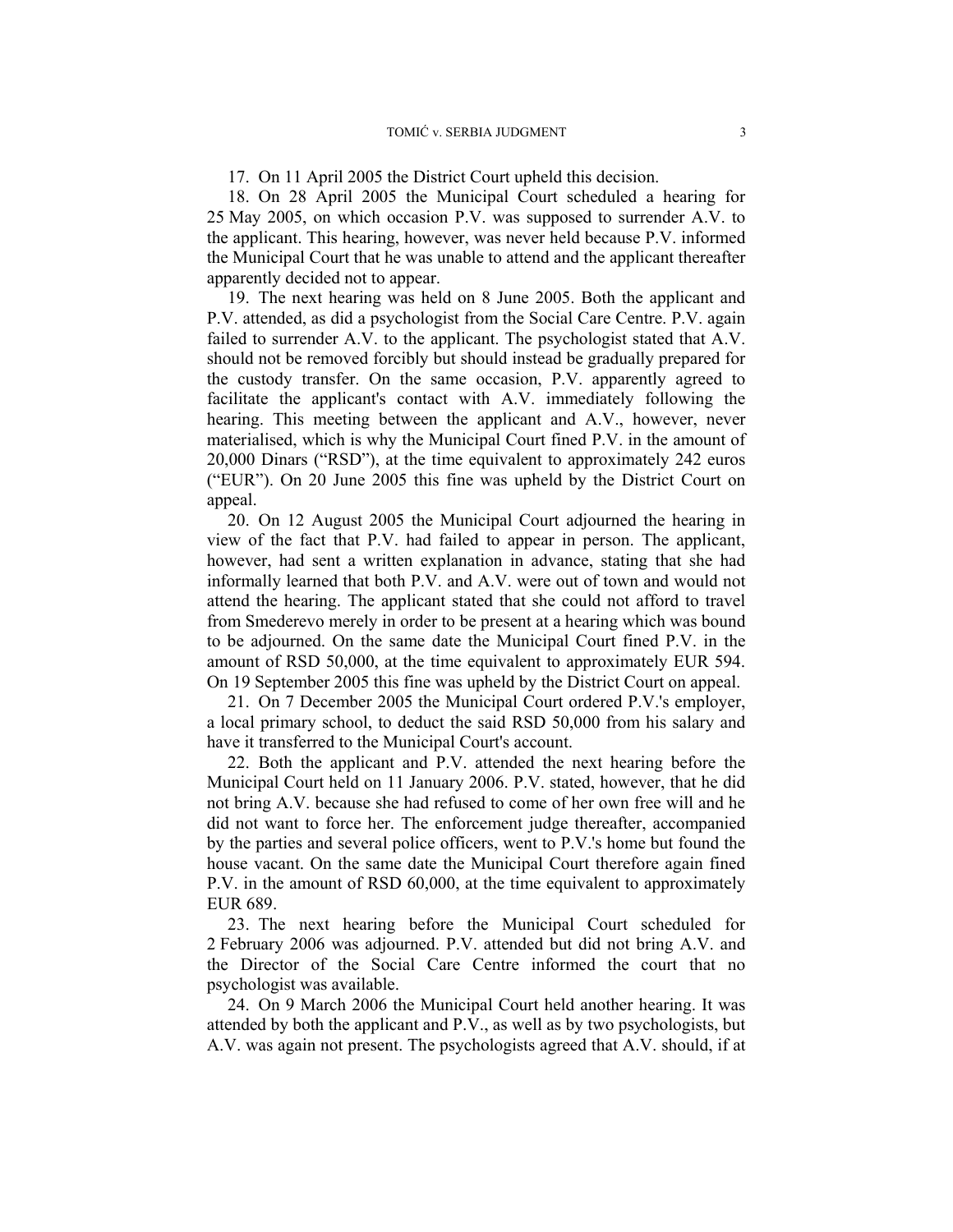17. On 11 April 2005 the District Court upheld this decision.

18. On 28 April 2005 the Municipal Court scheduled a hearing for 25 May 2005, on which occasion P.V. was supposed to surrender A.V. to the applicant. This hearing, however, was never held because P.V. informed the Municipal Court that he was unable to attend and the applicant thereafter apparently decided not to appear.

19. The next hearing was held on 8 June 2005. Both the applicant and P.V. attended, as did a psychologist from the Social Care Centre. P.V. again failed to surrender A.V. to the applicant. The psychologist stated that A.V. should not be removed forcibly but should instead be gradually prepared for the custody transfer. On the same occasion, P.V. apparently agreed to facilitate the applicant's contact with A.V. immediately following the hearing. This meeting between the applicant and A.V., however, never materialised, which is why the Municipal Court fined P.V. in the amount of 20,000 Dinars ("RSD"), at the time equivalent to approximately 242 euros ("EUR"). On 20 June 2005 this fine was upheld by the District Court on appeal.

20. On 12 August 2005 the Municipal Court adjourned the hearing in view of the fact that P.V. had failed to appear in person. The applicant, however, had sent a written explanation in advance, stating that she had informally learned that both P.V. and A.V. were out of town and would not attend the hearing. The applicant stated that she could not afford to travel from Smederevo merely in order to be present at a hearing which was bound to be adjourned. On the same date the Municipal Court fined P.V. in the amount of RSD 50,000, at the time equivalent to approximately EUR 594. On 19 September 2005 this fine was upheld by the District Court on appeal.

21. On 7 December 2005 the Municipal Court ordered P.V.'s employer, a local primary school, to deduct the said RSD 50,000 from his salary and have it transferred to the Municipal Court's account.

22. Both the applicant and P.V. attended the next hearing before the Municipal Court held on 11 January 2006. P.V. stated, however, that he did not bring A.V. because she had refused to come of her own free will and he did not want to force her. The enforcement judge thereafter, accompanied by the parties and several police officers, went to P.V.'s home but found the house vacant. On the same date the Municipal Court therefore again fined P.V. in the amount of RSD 60,000, at the time equivalent to approximately EUR 689.

23. The next hearing before the Municipal Court scheduled for 2 February 2006 was adjourned. P.V. attended but did not bring A.V. and the Director of the Social Care Centre informed the court that no psychologist was available.

24. On 9 March 2006 the Municipal Court held another hearing. It was attended by both the applicant and P.V., as well as by two psychologists, but A.V. was again not present. The psychologists agreed that A.V. should, if at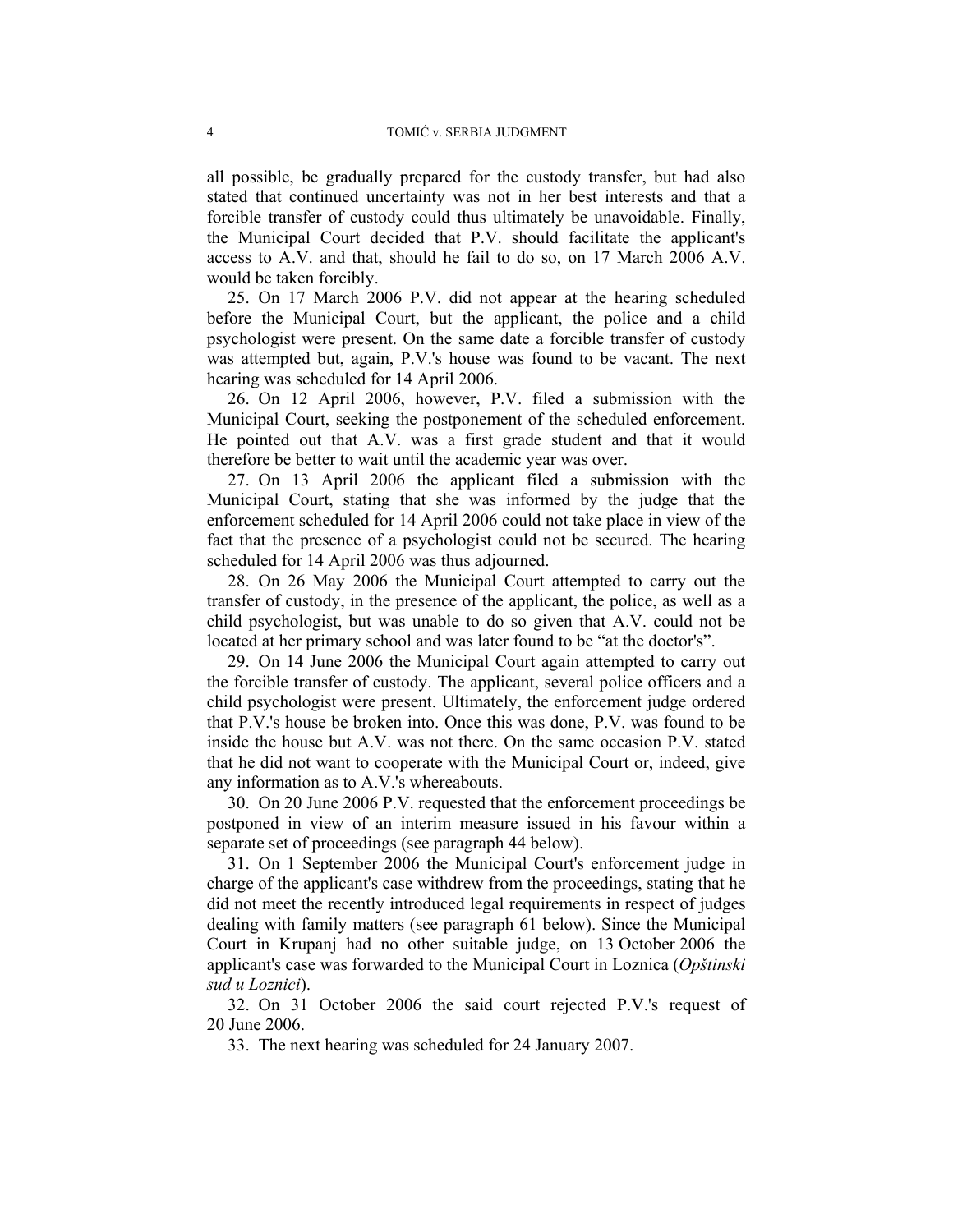all possible, be gradually prepared for the custody transfer, but had also stated that continued uncertainty was not in her best interests and that a forcible transfer of custody could thus ultimately be unavoidable. Finally, the Municipal Court decided that P.V. should facilitate the applicant's access to A.V. and that, should he fail to do so, on 17 March 2006 A.V. would be taken forcibly.

25. On 17 March 2006 P.V. did not appear at the hearing scheduled before the Municipal Court, but the applicant, the police and a child psychologist were present. On the same date a forcible transfer of custody was attempted but, again, P.V.'s house was found to be vacant. The next hearing was scheduled for 14 April 2006.

26. On 12 April 2006, however, P.V. filed a submission with the Municipal Court, seeking the postponement of the scheduled enforcement. He pointed out that A.V. was a first grade student and that it would therefore be better to wait until the academic year was over.

27. On 13 April 2006 the applicant filed a submission with the Municipal Court, stating that she was informed by the judge that the enforcement scheduled for 14 April 2006 could not take place in view of the fact that the presence of a psychologist could not be secured. The hearing scheduled for 14 April 2006 was thus adjourned.

28. On 26 May 2006 the Municipal Court attempted to carry out the transfer of custody, in the presence of the applicant, the police, as well as a child psychologist, but was unable to do so given that A.V. could not be located at her primary school and was later found to be "at the doctor's".

29. On 14 June 2006 the Municipal Court again attempted to carry out the forcible transfer of custody. The applicant, several police officers and a child psychologist were present. Ultimately, the enforcement judge ordered that P.V.'s house be broken into. Once this was done, P.V. was found to be inside the house but A.V. was not there. On the same occasion P.V. stated that he did not want to cooperate with the Municipal Court or, indeed, give any information as to A.V.'s whereabouts.

30. On 20 June 2006 P.V. requested that the enforcement proceedings be postponed in view of an interim measure issued in his favour within a separate set of proceedings (see paragraph 44 below).

31. On 1 September 2006 the Municipal Court's enforcement judge in charge of the applicant's case withdrew from the proceedings, stating that he did not meet the recently introduced legal requirements in respect of judges dealing with family matters (see paragraph 61 below). Since the Municipal Court in Krupanj had no other suitable judge, on 13 October 2006 the applicant's case was forwarded to the Municipal Court in Loznica (*Opštinski sud u Loznici*).

32. On 31 October 2006 the said court rejected P.V.'s request of 20 June 2006.

33. The next hearing was scheduled for 24 January 2007.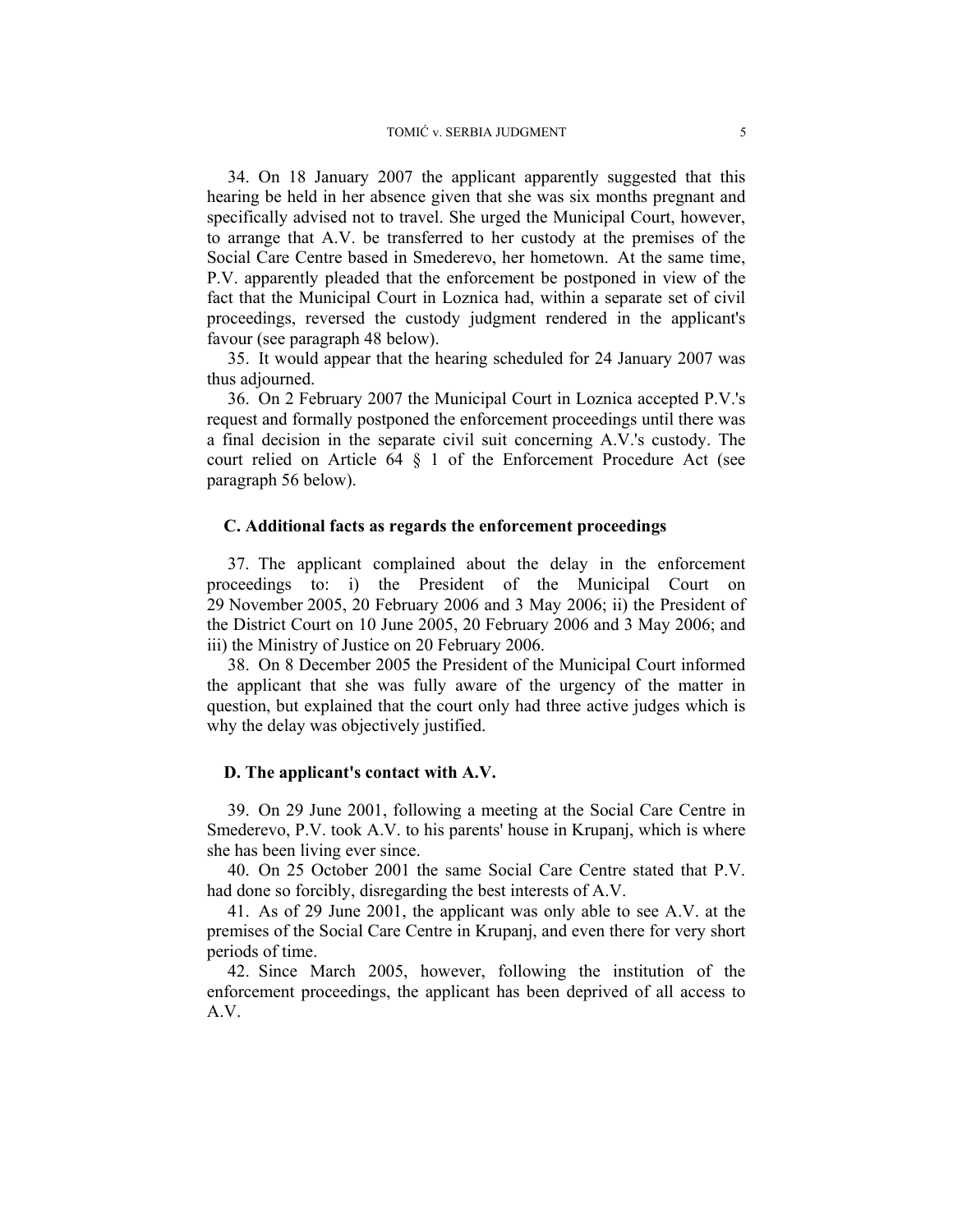34. On 18 January 2007 the applicant apparently suggested that this hearing be held in her absence given that she was six months pregnant and specifically advised not to travel. She urged the Municipal Court, however, to arrange that A.V. be transferred to her custody at the premises of the Social Care Centre based in Smederevo, her hometown. At the same time, P.V. apparently pleaded that the enforcement be postponed in view of the fact that the Municipal Court in Loznica had, within a separate set of civil proceedings, reversed the custody judgment rendered in the applicant's favour (see paragraph 48 below).

35. It would appear that the hearing scheduled for 24 January 2007 was thus adjourned.

36. On 2 February 2007 the Municipal Court in Loznica accepted P.V.'s request and formally postponed the enforcement proceedings until there was a final decision in the separate civil suit concerning A.V.'s custody. The court relied on Article 64 § 1 of the Enforcement Procedure Act (see paragraph 56 below).

### **C. Additional facts as regards the enforcement proceedings**

37. The applicant complained about the delay in the enforcement proceedings to: i) the President of the Municipal Court on 29 November 2005, 20 February 2006 and 3 May 2006; ii) the President of the District Court on 10 June 2005, 20 February 2006 and 3 May 2006; and iii) the Ministry of Justice on 20 February 2006.

38. On 8 December 2005 the President of the Municipal Court informed the applicant that she was fully aware of the urgency of the matter in question, but explained that the court only had three active judges which is why the delay was objectively justified.

#### **D. The applicant's contact with A.V.**

39. On 29 June 2001, following a meeting at the Social Care Centre in Smederevo, P.V. took A.V. to his parents' house in Krupanj, which is where she has been living ever since.

40. On 25 October 2001 the same Social Care Centre stated that P.V. had done so forcibly, disregarding the best interests of A.V.

41. As of 29 June 2001, the applicant was only able to see A.V. at the premises of the Social Care Centre in Krupanj, and even there for very short periods of time.

42. Since March 2005, however, following the institution of the enforcement proceedings, the applicant has been deprived of all access to A.V.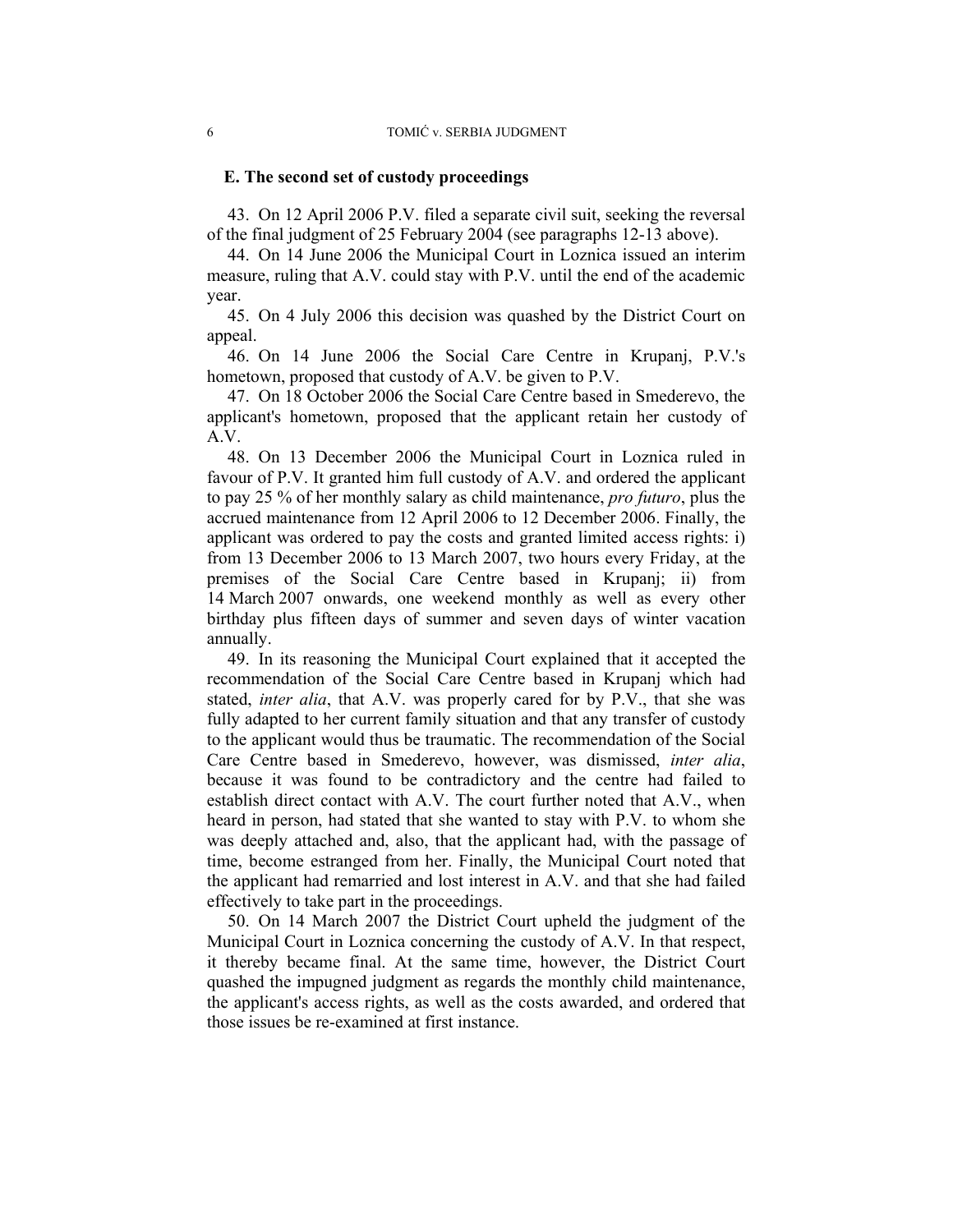#### **E. The second set of custody proceedings**

43. On 12 April 2006 P.V. filed a separate civil suit, seeking the reversal of the final judgment of 25 February 2004 (see paragraphs 12-13 above).

44. On 14 June 2006 the Municipal Court in Loznica issued an interim measure, ruling that A.V. could stay with P.V. until the end of the academic year.

45. On 4 July 2006 this decision was quashed by the District Court on appeal.

46. On 14 June 2006 the Social Care Centre in Krupanj, P.V.'s hometown, proposed that custody of A.V. be given to P.V.

47. On 18 October 2006 the Social Care Centre based in Smederevo, the applicant's hometown, proposed that the applicant retain her custody of A.V.

48. On 13 December 2006 the Municipal Court in Loznica ruled in favour of P.V. It granted him full custody of A.V. and ordered the applicant to pay 25 % of her monthly salary as child maintenance, *pro futuro*, plus the accrued maintenance from 12 April 2006 to 12 December 2006. Finally, the applicant was ordered to pay the costs and granted limited access rights: i) from 13 December 2006 to 13 March 2007, two hours every Friday, at the premises of the Social Care Centre based in Krupanj; ii) from 14 March 2007 onwards, one weekend monthly as well as every other birthday plus fifteen days of summer and seven days of winter vacation annually.

49. In its reasoning the Municipal Court explained that it accepted the recommendation of the Social Care Centre based in Krupanj which had stated, *inter alia*, that A.V. was properly cared for by P.V., that she was fully adapted to her current family situation and that any transfer of custody to the applicant would thus be traumatic. The recommendation of the Social Care Centre based in Smederevo, however, was dismissed, *inter alia*, because it was found to be contradictory and the centre had failed to establish direct contact with A.V. The court further noted that A.V., when heard in person, had stated that she wanted to stay with P.V. to whom she was deeply attached and, also, that the applicant had, with the passage of time, become estranged from her. Finally, the Municipal Court noted that the applicant had remarried and lost interest in A.V. and that she had failed effectively to take part in the proceedings.

50. On 14 March 2007 the District Court upheld the judgment of the Municipal Court in Loznica concerning the custody of A.V. In that respect, it thereby became final. At the same time, however, the District Court quashed the impugned judgment as regards the monthly child maintenance, the applicant's access rights, as well as the costs awarded, and ordered that those issues be re-examined at first instance.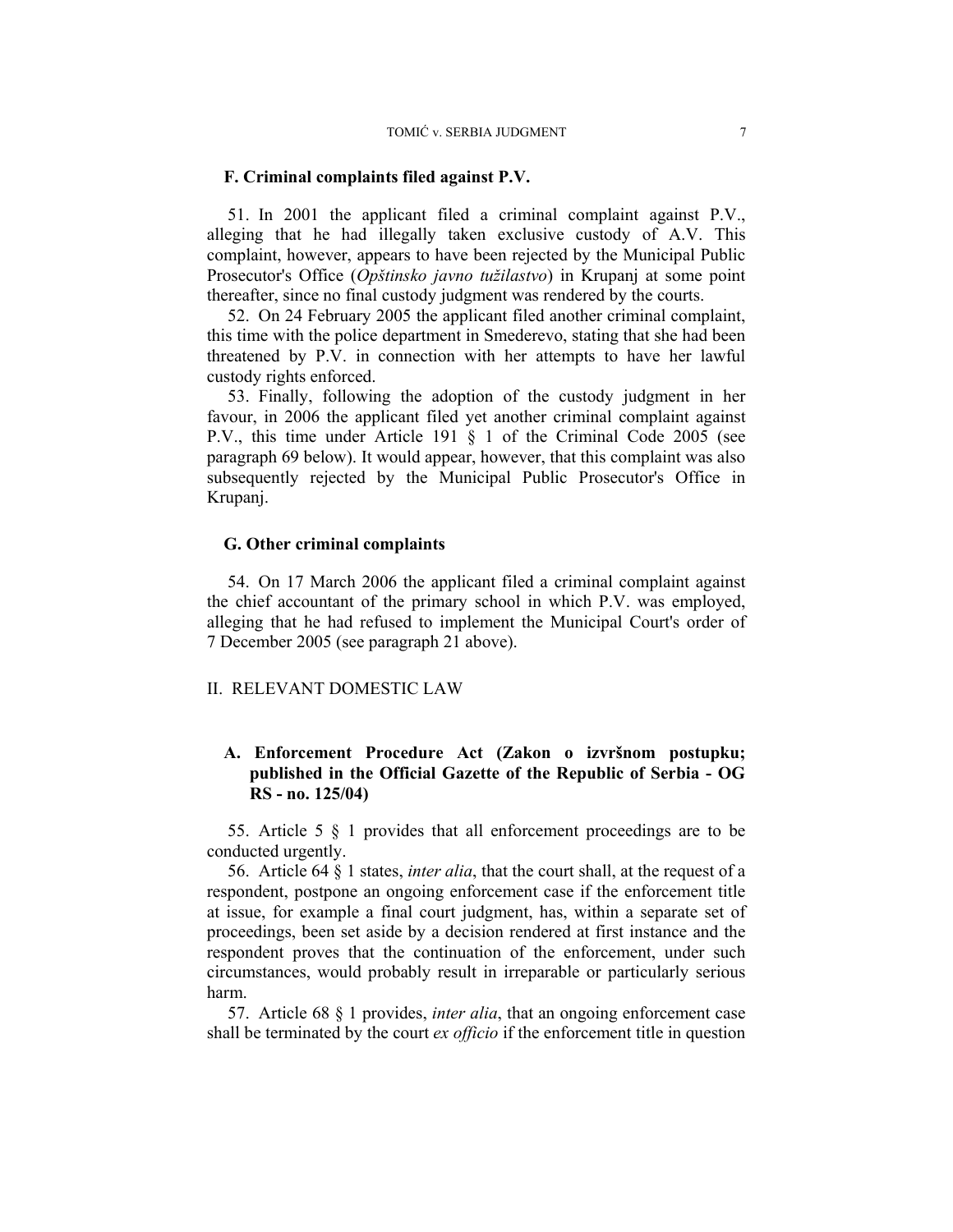#### **F. Criminal complaints filed against P.V.**

51. In 2001 the applicant filed a criminal complaint against P.V., alleging that he had illegally taken exclusive custody of A.V. This complaint, however, appears to have been rejected by the Municipal Public Prosecutor's Office (*Opštinsko javno tužilastvo*) in Krupanj at some point thereafter, since no final custody judgment was rendered by the courts.

52. On 24 February 2005 the applicant filed another criminal complaint, this time with the police department in Smederevo, stating that she had been threatened by P.V. in connection with her attempts to have her lawful custody rights enforced.

53. Finally, following the adoption of the custody judgment in her favour, in 2006 the applicant filed yet another criminal complaint against P.V., this time under Article 191 § 1 of the Criminal Code 2005 (see paragraph 69 below). It would appear, however, that this complaint was also subsequently rejected by the Municipal Public Prosecutor's Office in Krupanj.

#### **G. Other criminal complaints**

54. On 17 March 2006 the applicant filed a criminal complaint against the chief accountant of the primary school in which P.V. was employed, alleging that he had refused to implement the Municipal Court's order of 7 December 2005 (see paragraph 21 above).

#### II. RELEVANT DOMESTIC LAW

# **A. Enforcement Procedure Act (Zakon o izvršnom postupku; published in the Official Gazette of the Republic of Serbia - OG RS - no. 125/04)**

55. Article 5 § 1 provides that all enforcement proceedings are to be conducted urgently.

56. Article 64 § 1 states, *inter alia*, that the court shall, at the request of a respondent, postpone an ongoing enforcement case if the enforcement title at issue, for example a final court judgment, has, within a separate set of proceedings, been set aside by a decision rendered at first instance and the respondent proves that the continuation of the enforcement, under such circumstances, would probably result in irreparable or particularly serious harm.

57. Article 68 § 1 provides, *inter alia*, that an ongoing enforcement case shall be terminated by the court *ex officio* if the enforcement title in question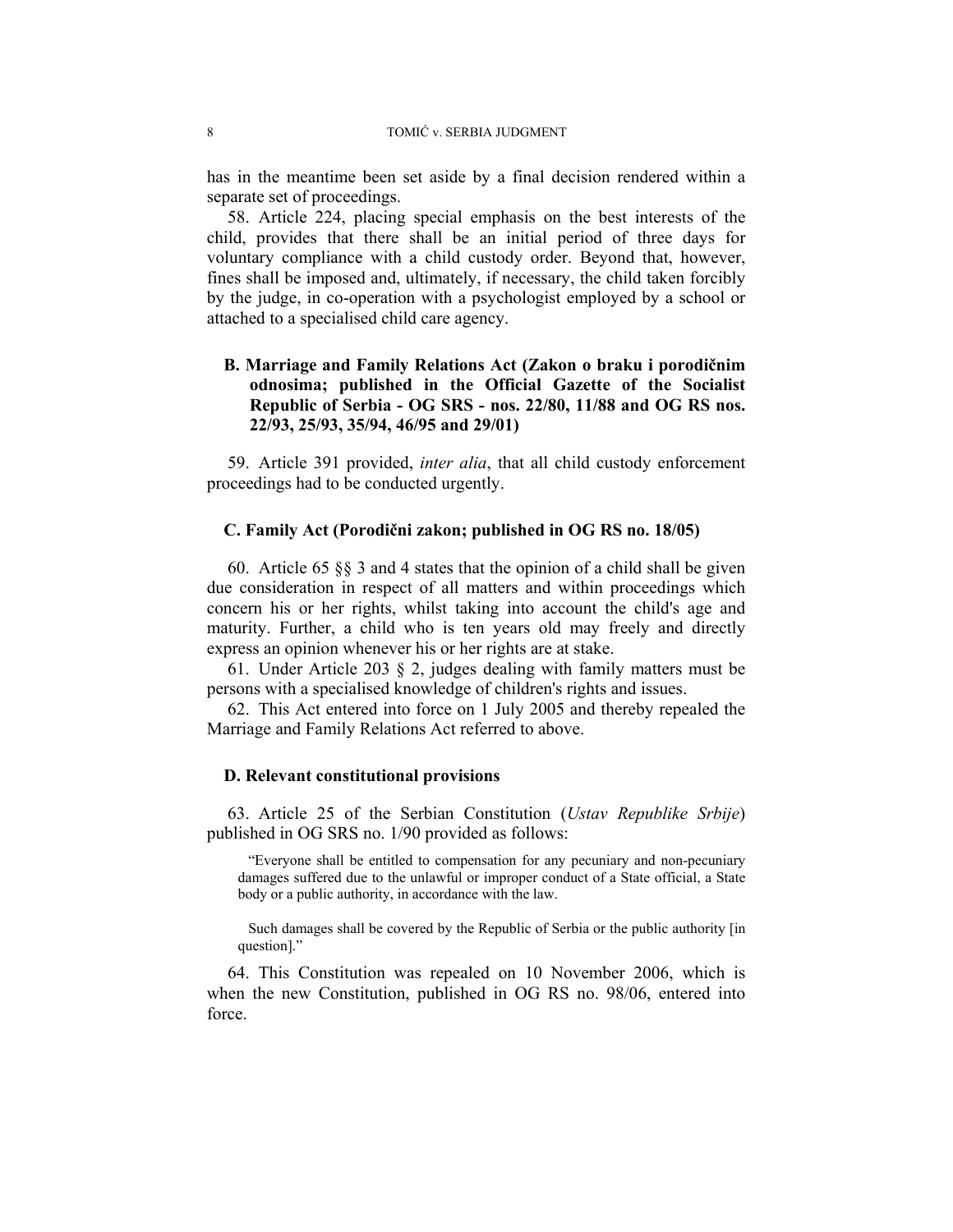has in the meantime been set aside by a final decision rendered within a separate set of proceedings.

58. Article 224, placing special emphasis on the best interests of the child, provides that there shall be an initial period of three days for voluntary compliance with a child custody order. Beyond that, however, fines shall be imposed and, ultimately, if necessary, the child taken forcibly by the judge, in co-operation with a psychologist employed by a school or attached to a specialised child care agency.

# **B. Marriage and Family Relations Act (Zakon o braku i porodičnim odnosima; published in the Official Gazette of the Socialist Republic of Serbia - OG SRS - nos. 22/80, 11/88 and OG RS nos. 22/93, 25/93, 35/94, 46/95 and 29/01)**

59. Article 391 provided, *inter alia*, that all child custody enforcement proceedings had to be conducted urgently.

#### **C. Family Act (Porodični zakon; published in OG RS no. 18/05)**

60. Article 65 §§ 3 and 4 states that the opinion of a child shall be given due consideration in respect of all matters and within proceedings which concern his or her rights, whilst taking into account the child's age and maturity. Further, a child who is ten years old may freely and directly express an opinion whenever his or her rights are at stake.

61. Under Article 203 § 2, judges dealing with family matters must be persons with a specialised knowledge of children's rights and issues.

62. This Act entered into force on 1 July 2005 and thereby repealed the Marriage and Family Relations Act referred to above.

#### **D. Relevant constitutional provisions**

63. Article 25 of the Serbian Constitution (*Ustav Republike Srbije*) published in OG SRS no. 1/90 provided as follows:

"Everyone shall be entitled to compensation for any pecuniary and non-pecuniary damages suffered due to the unlawful or improper conduct of a State official, a State body or a public authority, in accordance with the law.

Such damages shall be covered by the Republic of Serbia or the public authority [in question]."

64. This Constitution was repealed on 10 November 2006, which is when the new Constitution, published in OG RS no. 98/06, entered into force.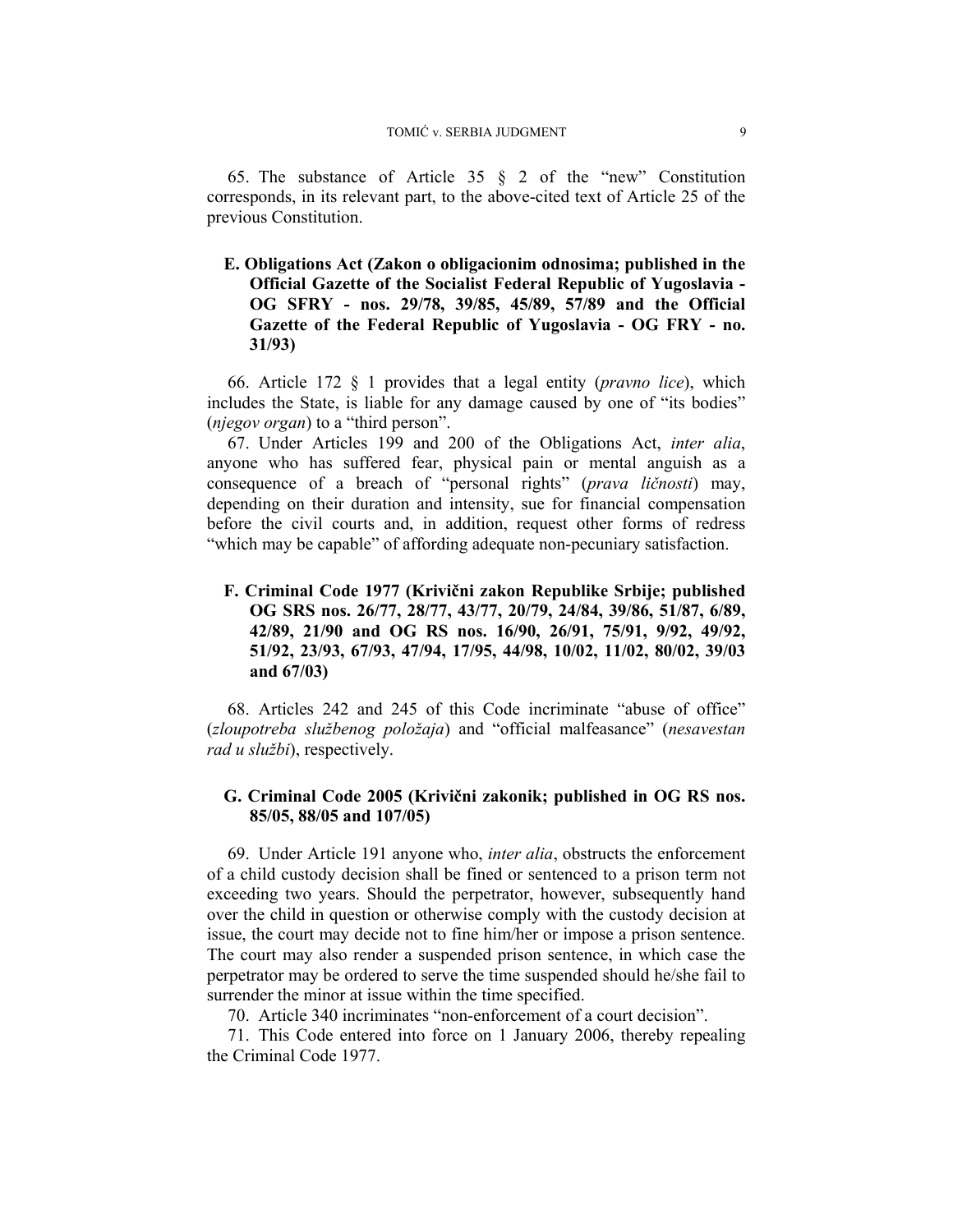65. The substance of Article 35 § 2 of the "new" Constitution corresponds, in its relevant part, to the above-cited text of Article 25 of the previous Constitution.

**E. Obligations Act (Zakon o obligacionim odnosima; published in the Official Gazette of the Socialist Federal Republic of Yugoslavia - OG SFRY - nos. 29/78, 39/85, 45/89, 57/89 and the Official Gazette of the Federal Republic of Yugoslavia - OG FRY - no. 31/93)** 

66. Article 172 § 1 provides that a legal entity (*pravno lice*), which includes the State, is liable for any damage caused by one of "its bodies" (*njegov organ*) to a "third person".

67. Under Articles 199 and 200 of the Obligations Act, *inter alia*, anyone who has suffered fear, physical pain or mental anguish as a consequence of a breach of "personal rights" (*prava ličnosti*) may, depending on their duration and intensity, sue for financial compensation before the civil courts and, in addition, request other forms of redress "which may be capable" of affording adequate non-pecuniary satisfaction.

**F. Criminal Code 1977 (Krivični zakon Republike Srbije; published OG SRS nos. 26/77, 28/77, 43/77, 20/79, 24/84, 39/86, 51/87, 6/89, 42/89, 21/90 and OG RS nos. 16/90, 26/91, 75/91, 9/92, 49/92, 51/92, 23/93, 67/93, 47/94, 17/95, 44/98, 10/02, 11/02, 80/02, 39/03 and 67/03)** 

68. Articles 242 and 245 of this Code incriminate "abuse of office" (*zloupotreba službenog položaja*) and "official malfeasance" (*nesavestan rad u službi*), respectively.

## **G. Criminal Code 2005 (Krivični zakonik; published in OG RS nos. 85/05, 88/05 and 107/05)**

69. Under Article 191 anyone who, *inter alia*, obstructs the enforcement of a child custody decision shall be fined or sentenced to a prison term not exceeding two years. Should the perpetrator, however, subsequently hand over the child in question or otherwise comply with the custody decision at issue, the court may decide not to fine him/her or impose a prison sentence. The court may also render a suspended prison sentence, in which case the perpetrator may be ordered to serve the time suspended should he/she fail to surrender the minor at issue within the time specified.

70. Article 340 incriminates "non-enforcement of a court decision".

71. This Code entered into force on 1 January 2006, thereby repealing the Criminal Code 1977.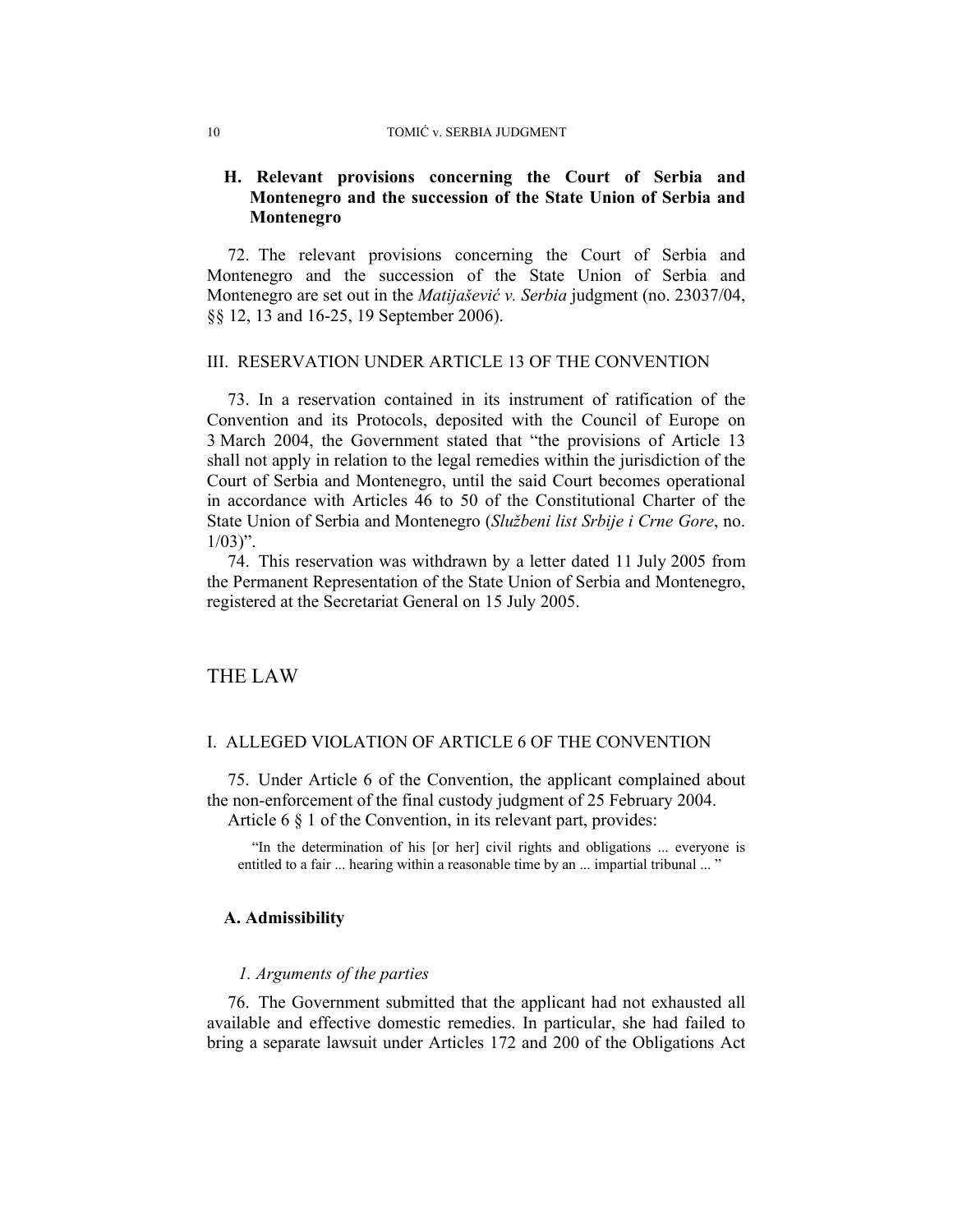#### 10 TOMIĆ v. SERBIA JUDGMENT

## **H. Relevant provisions concerning the Court of Serbia and Montenegro and the succession of the State Union of Serbia and Montenegro**

72. The relevant provisions concerning the Court of Serbia and Montenegro and the succession of the State Union of Serbia and Montenegro are set out in the *Matijašević v. Serbia* judgment (no. 23037/04, §§ 12, 13 and 16-25, 19 September 2006).

#### III. RESERVATION UNDER ARTICLE 13 OF THE CONVENTION

73. In a reservation contained in its instrument of ratification of the Convention and its Protocols, deposited with the Council of Europe on 3 March 2004, the Government stated that "the provisions of Article 13 shall not apply in relation to the legal remedies within the jurisdiction of the Court of Serbia and Montenegro, until the said Court becomes operational in accordance with Articles 46 to 50 of the Constitutional Charter of the State Union of Serbia and Montenegro (*Službeni list Srbije i Crne Gore*, no.  $1/03$ ".

74. This reservation was withdrawn by a letter dated 11 July 2005 from the Permanent Representation of the State Union of Serbia and Montenegro, registered at the Secretariat General on 15 July 2005.

## THE LAW

#### I. ALLEGED VIOLATION OF ARTICLE 6 OF THE CONVENTION

75. Under Article 6 of the Convention, the applicant complained about the non-enforcement of the final custody judgment of 25 February 2004. Article 6 § 1 of the Convention, in its relevant part, provides:

 "In the determination of his [or her] civil rights and obligations ... everyone is entitled to a fair ... hearing within a reasonable time by an ... impartial tribunal ... "

#### **A. Admissibility**

#### *1. Arguments of the parties*

76. The Government submitted that the applicant had not exhausted all available and effective domestic remedies. In particular, she had failed to bring a separate lawsuit under Articles 172 and 200 of the Obligations Act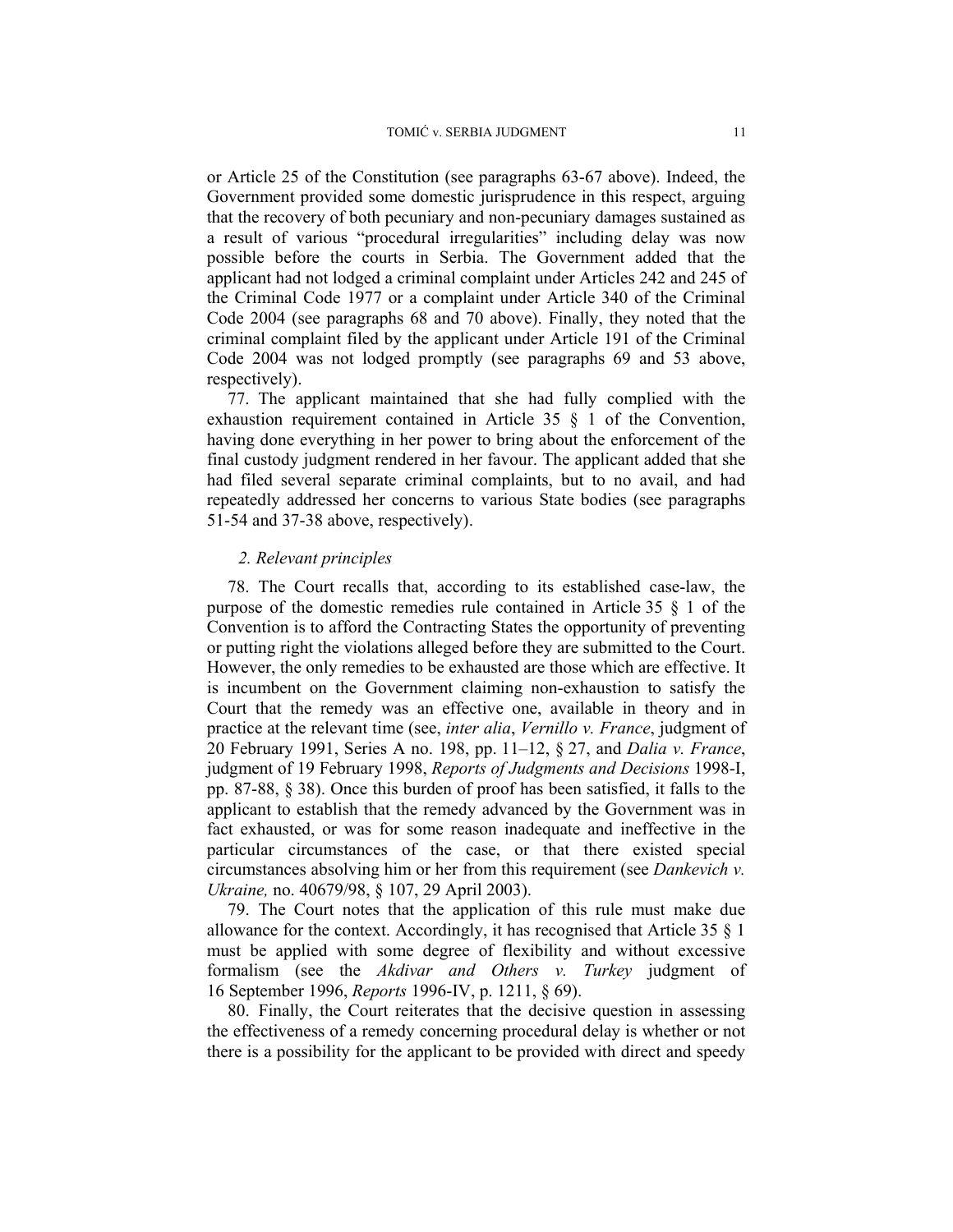or Article 25 of the Constitution (see paragraphs 63-67 above). Indeed, the Government provided some domestic jurisprudence in this respect, arguing that the recovery of both pecuniary and non-pecuniary damages sustained as a result of various "procedural irregularities" including delay was now possible before the courts in Serbia. The Government added that the applicant had not lodged a criminal complaint under Articles 242 and 245 of the Criminal Code 1977 or a complaint under Article 340 of the Criminal Code 2004 (see paragraphs 68 and 70 above). Finally, they noted that the criminal complaint filed by the applicant under Article 191 of the Criminal Code 2004 was not lodged promptly (see paragraphs 69 and 53 above, respectively).

77. The applicant maintained that she had fully complied with the exhaustion requirement contained in Article 35 § 1 of the Convention, having done everything in her power to bring about the enforcement of the final custody judgment rendered in her favour. The applicant added that she had filed several separate criminal complaints, but to no avail, and had repeatedly addressed her concerns to various State bodies (see paragraphs 51-54 and 37-38 above, respectively).

#### *2. Relevant principles*

78. The Court recalls that, according to its established case-law, the purpose of the domestic remedies rule contained in Article 35 § 1 of the Convention is to afford the Contracting States the opportunity of preventing or putting right the violations alleged before they are submitted to the Court. However, the only remedies to be exhausted are those which are effective. It is incumbent on the Government claiming non-exhaustion to satisfy the Court that the remedy was an effective one, available in theory and in practice at the relevant time (see, *inter alia*, *Vernillo v. France*, judgment of 20 February 1991, Series A no. 198, pp. 11–12, § 27, and *Dalia v. France*, judgment of 19 February 1998, *Reports of Judgments and Decisions* 1998-I, pp. 87-88, § 38). Once this burden of proof has been satisfied, it falls to the applicant to establish that the remedy advanced by the Government was in fact exhausted, or was for some reason inadequate and ineffective in the particular circumstances of the case, or that there existed special circumstances absolving him or her from this requirement (see *Dankevich v. Ukraine,* no. 40679/98, § 107, 29 April 2003).

79. The Court notes that the application of this rule must make due allowance for the context. Accordingly, it has recognised that Article 35 § 1 must be applied with some degree of flexibility and without excessive formalism (see the *Akdivar and Others v. Turkey* judgment of 16 September 1996, *Reports* 1996-IV, p. 1211, § 69).

80. Finally, the Court reiterates that the decisive question in assessing the effectiveness of a remedy concerning procedural delay is whether or not there is a possibility for the applicant to be provided with direct and speedy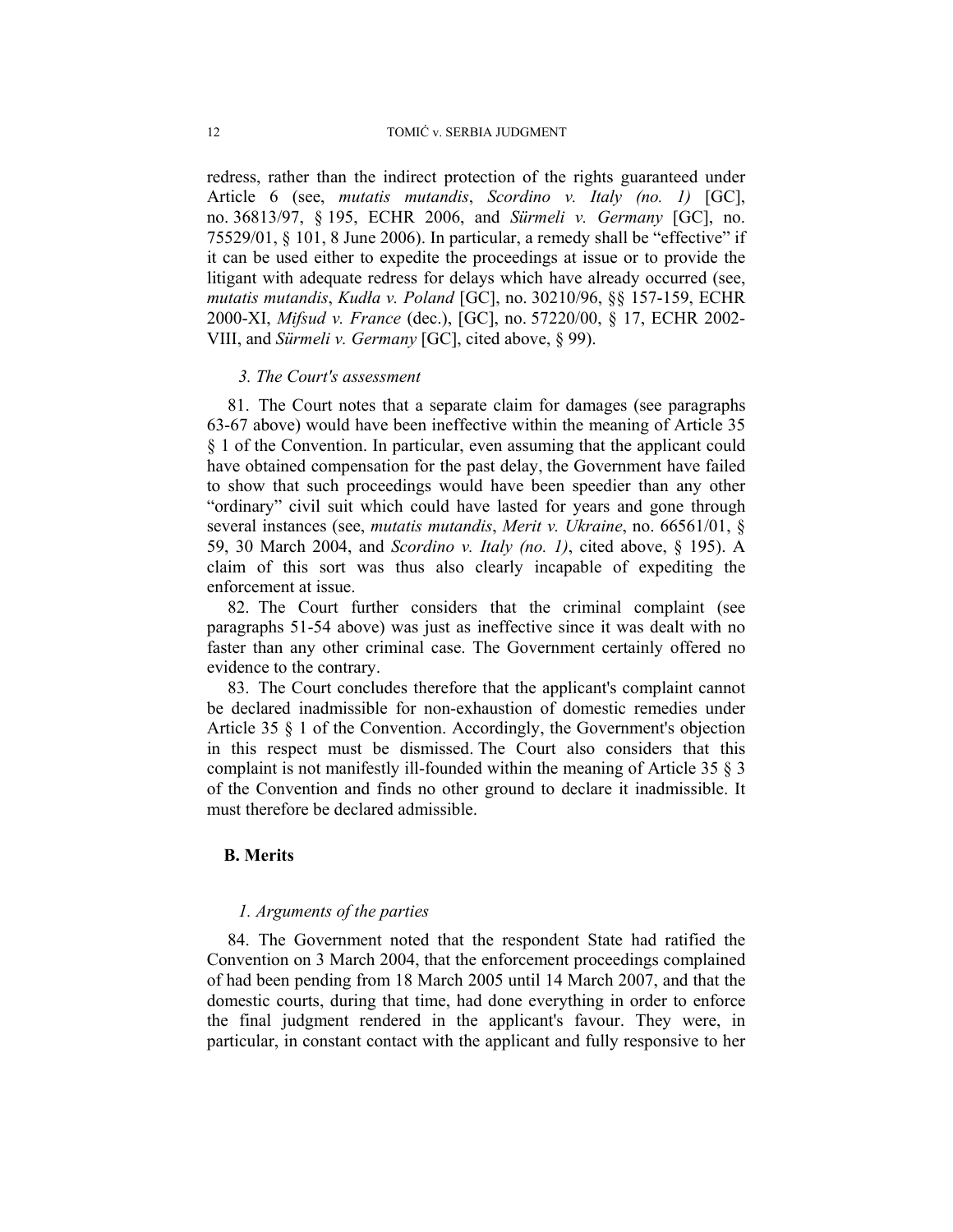redress, rather than the indirect protection of the rights guaranteed under Article 6 (see, *mutatis mutandis*, *Scordino v. Italy (no. 1)* [GC], no. 36813/97, § 195, ECHR 2006, and *Sürmeli v. Germany* [GC], no. 75529/01, § 101, 8 June 2006). In particular, a remedy shall be "effective" if it can be used either to expedite the proceedings at issue or to provide the litigant with adequate redress for delays which have already occurred (see, *mutatis mutandis*, *Kudła v. Poland* [GC], no. 30210/96, §§ 157-159, ECHR 2000-XI, *Mifsud v. France* (dec.), [GC], no. 57220/00, § 17, ECHR 2002- VIII, and *Sürmeli v. Germany* [GC], cited above, § 99).

#### *3. The Court's assessment*

81. The Court notes that a separate claim for damages (see paragraphs 63-67 above) would have been ineffective within the meaning of Article 35 § 1 of the Convention. In particular, even assuming that the applicant could have obtained compensation for the past delay, the Government have failed to show that such proceedings would have been speedier than any other "ordinary" civil suit which could have lasted for years and gone through several instances (see, *mutatis mutandis*, *Merit v. Ukraine*, no. 66561/01, § 59, 30 March 2004, and *Scordino v. Italy (no. 1)*, cited above, § 195). A claim of this sort was thus also clearly incapable of expediting the enforcement at issue.

82. The Court further considers that the criminal complaint (see paragraphs 51-54 above) was just as ineffective since it was dealt with no faster than any other criminal case. The Government certainly offered no evidence to the contrary.

83. The Court concludes therefore that the applicant's complaint cannot be declared inadmissible for non-exhaustion of domestic remedies under Article 35 § 1 of the Convention. Accordingly, the Government's objection in this respect must be dismissed. The Court also considers that this complaint is not manifestly ill-founded within the meaning of Article 35 § 3 of the Convention and finds no other ground to declare it inadmissible. It must therefore be declared admissible.

## **B. Merits**

#### *1. Arguments of the parties*

84. The Government noted that the respondent State had ratified the Convention on 3 March 2004, that the enforcement proceedings complained of had been pending from 18 March 2005 until 14 March 2007, and that the domestic courts, during that time, had done everything in order to enforce the final judgment rendered in the applicant's favour. They were, in particular, in constant contact with the applicant and fully responsive to her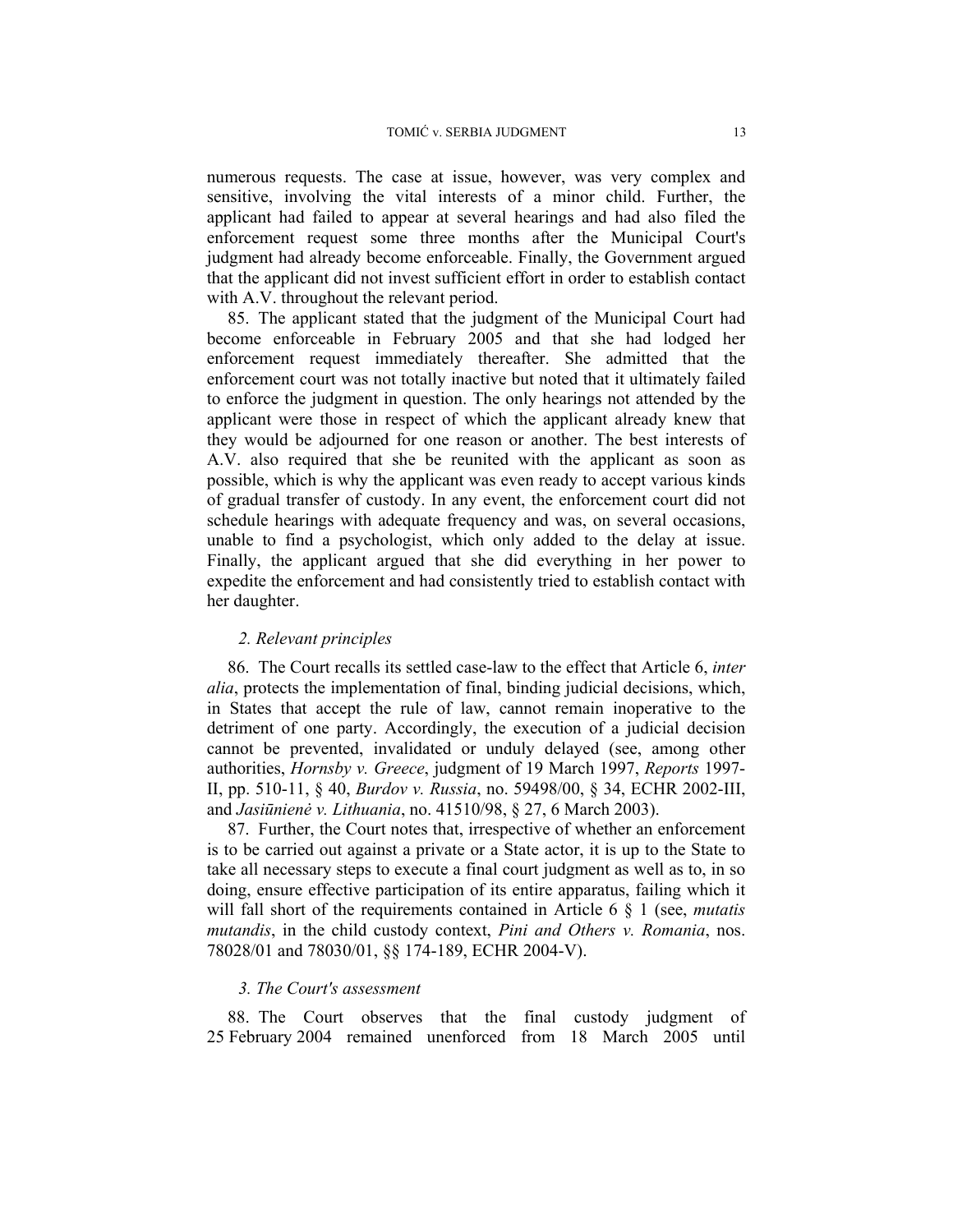numerous requests. The case at issue, however, was very complex and sensitive, involving the vital interests of a minor child. Further, the applicant had failed to appear at several hearings and had also filed the enforcement request some three months after the Municipal Court's judgment had already become enforceable. Finally, the Government argued that the applicant did not invest sufficient effort in order to establish contact with A.V. throughout the relevant period.

85. The applicant stated that the judgment of the Municipal Court had become enforceable in February 2005 and that she had lodged her enforcement request immediately thereafter. She admitted that the enforcement court was not totally inactive but noted that it ultimately failed to enforce the judgment in question. The only hearings not attended by the applicant were those in respect of which the applicant already knew that they would be adjourned for one reason or another. The best interests of A.V. also required that she be reunited with the applicant as soon as possible, which is why the applicant was even ready to accept various kinds of gradual transfer of custody. In any event, the enforcement court did not schedule hearings with adequate frequency and was, on several occasions, unable to find a psychologist, which only added to the delay at issue. Finally, the applicant argued that she did everything in her power to expedite the enforcement and had consistently tried to establish contact with her daughter.

#### *2. Relevant principles*

86. The Court recalls its settled case-law to the effect that Article 6, *inter alia*, protects the implementation of final, binding judicial decisions, which, in States that accept the rule of law, cannot remain inoperative to the detriment of one party. Accordingly, the execution of a judicial decision cannot be prevented, invalidated or unduly delayed (see, among other authorities, *Hornsby v. Greece*, judgment of 19 March 1997, *Reports* 1997- II, pp. 510-11, § 40, *Burdov v. Russia*, no. 59498/00, § 34, ECHR 2002-III, and *Jasiūnienė v. Lithuania*, no. 41510/98, § 27, 6 March 2003).

87. Further, the Court notes that, irrespective of whether an enforcement is to be carried out against a private or a State actor, it is up to the State to take all necessary steps to execute a final court judgment as well as to, in so doing, ensure effective participation of its entire apparatus, failing which it will fall short of the requirements contained in Article 6 § 1 (see, *mutatis mutandis*, in the child custody context, *Pini and Others v. Romania*, nos. 78028/01 and 78030/01, §§ 174-189, ECHR 2004-V).

## *3. The Court's assessment*

88. The Court observes that the final custody judgment of 25 February 2004 remained unenforced from 18 March 2005 until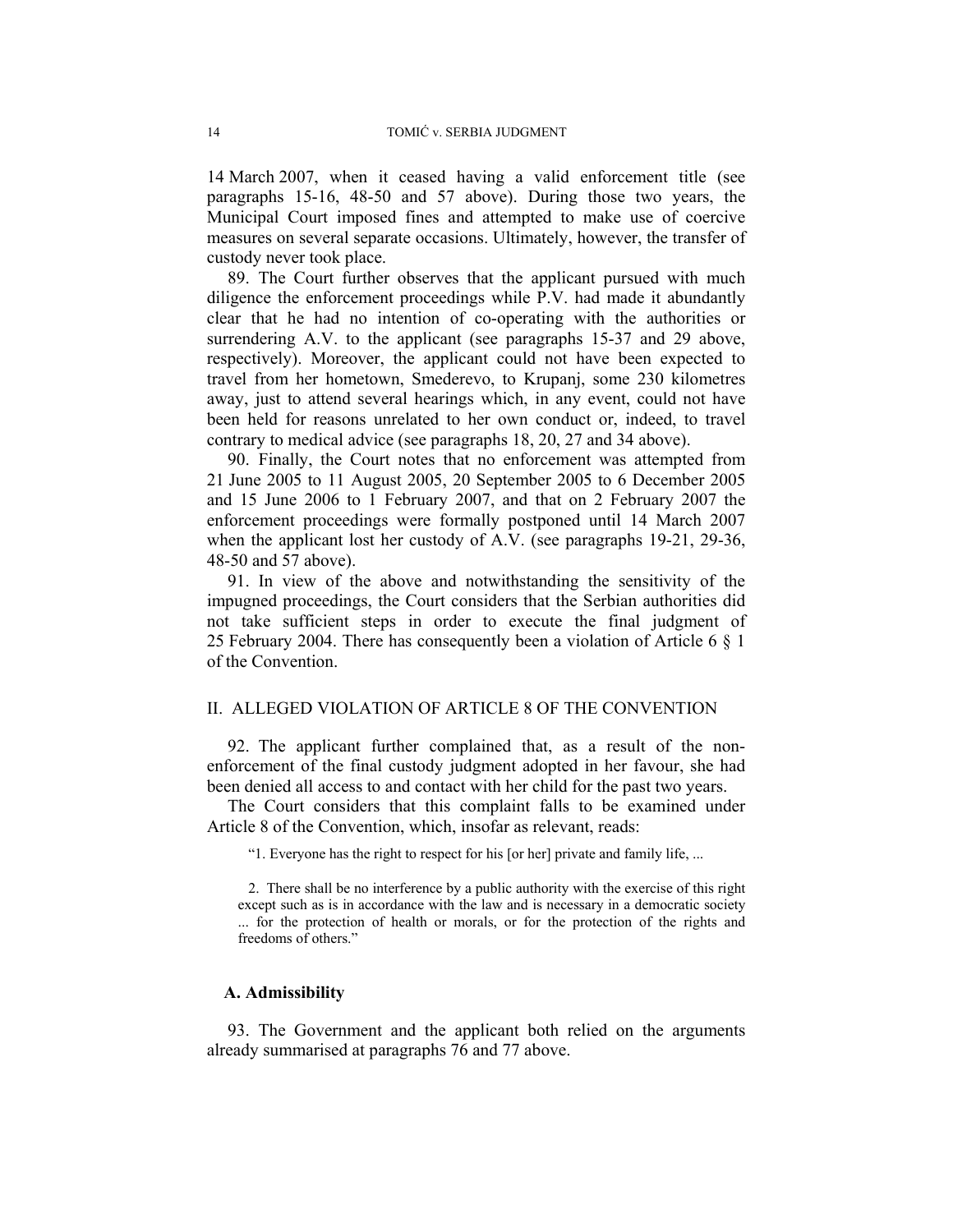14 March 2007, when it ceased having a valid enforcement title (see paragraphs 15-16, 48-50 and 57 above). During those two years, the Municipal Court imposed fines and attempted to make use of coercive measures on several separate occasions. Ultimately, however, the transfer of custody never took place.

89. The Court further observes that the applicant pursued with much diligence the enforcement proceedings while P.V. had made it abundantly clear that he had no intention of co-operating with the authorities or surrendering A.V. to the applicant (see paragraphs 15-37 and 29 above, respectively). Moreover, the applicant could not have been expected to travel from her hometown, Smederevo, to Krupanj, some 230 kilometres away, just to attend several hearings which, in any event, could not have been held for reasons unrelated to her own conduct or, indeed, to travel contrary to medical advice (see paragraphs 18, 20, 27 and 34 above).

90. Finally, the Court notes that no enforcement was attempted from 21 June 2005 to 11 August 2005, 20 September 2005 to 6 December 2005 and 15 June 2006 to 1 February 2007, and that on 2 February 2007 the enforcement proceedings were formally postponed until 14 March 2007 when the applicant lost her custody of A.V. (see paragraphs 19-21, 29-36, 48-50 and 57 above).

91. In view of the above and notwithstanding the sensitivity of the impugned proceedings, the Court considers that the Serbian authorities did not take sufficient steps in order to execute the final judgment of 25 February 2004. There has consequently been a violation of Article 6 § 1 of the Convention.

#### II. ALLEGED VIOLATION OF ARTICLE 8 OF THE CONVENTION

92. The applicant further complained that, as a result of the nonenforcement of the final custody judgment adopted in her favour, she had been denied all access to and contact with her child for the past two years.

The Court considers that this complaint falls to be examined under Article 8 of the Convention, which, insofar as relevant, reads:

"1. Everyone has the right to respect for his [or her] private and family life, ...

2. There shall be no interference by a public authority with the exercise of this right except such as is in accordance with the law and is necessary in a democratic society ... for the protection of health or morals, or for the protection of the rights and freedoms of others."

#### **A. Admissibility**

93. The Government and the applicant both relied on the arguments already summarised at paragraphs 76 and 77 above.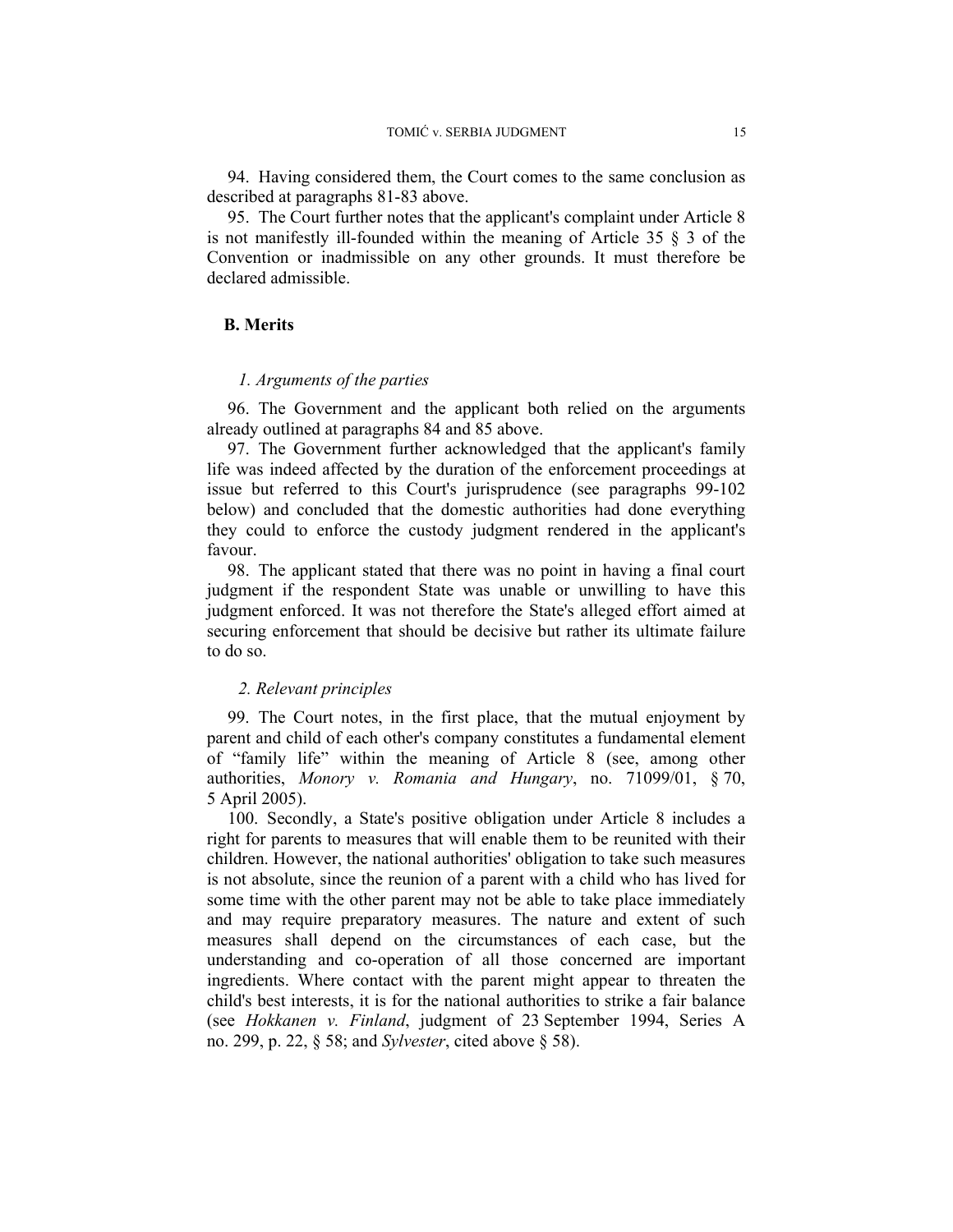94. Having considered them, the Court comes to the same conclusion as described at paragraphs 81-83 above.

95. The Court further notes that the applicant's complaint under Article 8 is not manifestly ill-founded within the meaning of Article 35 § 3 of the Convention or inadmissible on any other grounds. It must therefore be declared admissible.

## **B. Merits**

## *1. Arguments of the parties*

96. The Government and the applicant both relied on the arguments already outlined at paragraphs 84 and 85 above.

97. The Government further acknowledged that the applicant's family life was indeed affected by the duration of the enforcement proceedings at issue but referred to this Court's jurisprudence (see paragraphs 99-102 below) and concluded that the domestic authorities had done everything they could to enforce the custody judgment rendered in the applicant's favour.

98. The applicant stated that there was no point in having a final court judgment if the respondent State was unable or unwilling to have this judgment enforced. It was not therefore the State's alleged effort aimed at securing enforcement that should be decisive but rather its ultimate failure to do so.

#### *2. Relevant principles*

99. The Court notes, in the first place, that the mutual enjoyment by parent and child of each other's company constitutes a fundamental element of "family life" within the meaning of Article 8 (see, among other authorities, *Monory v. Romania and Hungary*, no. 71099/01, § 70, 5 April 2005).

100. Secondly, a State's positive obligation under Article 8 includes a right for parents to measures that will enable them to be reunited with their children. However, the national authorities' obligation to take such measures is not absolute, since the reunion of a parent with a child who has lived for some time with the other parent may not be able to take place immediately and may require preparatory measures. The nature and extent of such measures shall depend on the circumstances of each case, but the understanding and co-operation of all those concerned are important ingredients. Where contact with the parent might appear to threaten the child's best interests, it is for the national authorities to strike a fair balance (see *Hokkanen v. Finland*, judgment of 23 September 1994, Series A no. 299, p. 22, § 58; and *Sylvester*, cited above § 58).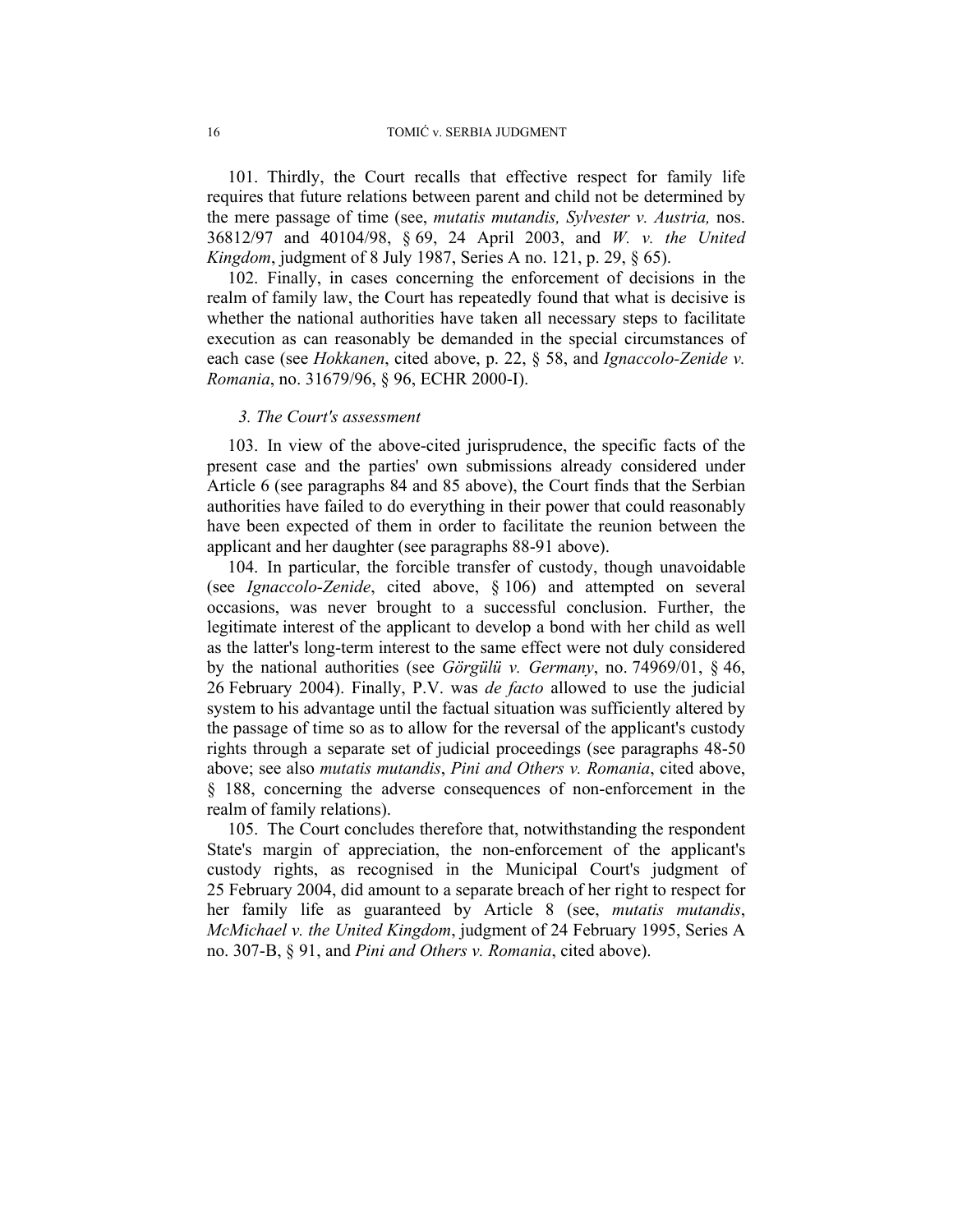101. Thirdly, the Court recalls that effective respect for family life requires that future relations between parent and child not be determined by the mere passage of time (see, *mutatis mutandis, Sylvester v. Austria,* nos. 36812/97 and 40104/98, § 69, 24 April 2003, and *W. v. the United Kingdom*, judgment of 8 July 1987, Series A no. 121, p. 29, § 65).

102. Finally, in cases concerning the enforcement of decisions in the realm of family law, the Court has repeatedly found that what is decisive is whether the national authorities have taken all necessary steps to facilitate execution as can reasonably be demanded in the special circumstances of each case (see *Hokkanen*, cited above, p. 22, § 58, and *Ignaccolo-Zenide v. Romania*, no. 31679/96, § 96, ECHR 2000-I).

#### *3. The Court's assessment*

103. In view of the above-cited jurisprudence, the specific facts of the present case and the parties' own submissions already considered under Article 6 (see paragraphs 84 and 85 above), the Court finds that the Serbian authorities have failed to do everything in their power that could reasonably have been expected of them in order to facilitate the reunion between the applicant and her daughter (see paragraphs 88-91 above).

104. In particular, the forcible transfer of custody, though unavoidable (see *Ignaccolo-Zenide*, cited above, § 106) and attempted on several occasions, was never brought to a successful conclusion. Further, the legitimate interest of the applicant to develop a bond with her child as well as the latter's long-term interest to the same effect were not duly considered by the national authorities (see *Görgülü v. Germany*, no. 74969/01, § 46, 26 February 2004). Finally, P.V. was *de facto* allowed to use the judicial system to his advantage until the factual situation was sufficiently altered by the passage of time so as to allow for the reversal of the applicant's custody rights through a separate set of judicial proceedings (see paragraphs 48-50 above; see also *mutatis mutandis*, *Pini and Others v. Romania*, cited above, § 188, concerning the adverse consequences of non-enforcement in the realm of family relations).

105. The Court concludes therefore that, notwithstanding the respondent State's margin of appreciation, the non-enforcement of the applicant's custody rights, as recognised in the Municipal Court's judgment of 25 February 2004, did amount to a separate breach of her right to respect for her family life as guaranteed by Article 8 (see, *mutatis mutandis*, *McMichael v. the United Kingdom*, judgment of 24 February 1995, Series A no. 307-B, § 91, and *Pini and Others v. Romania*, cited above).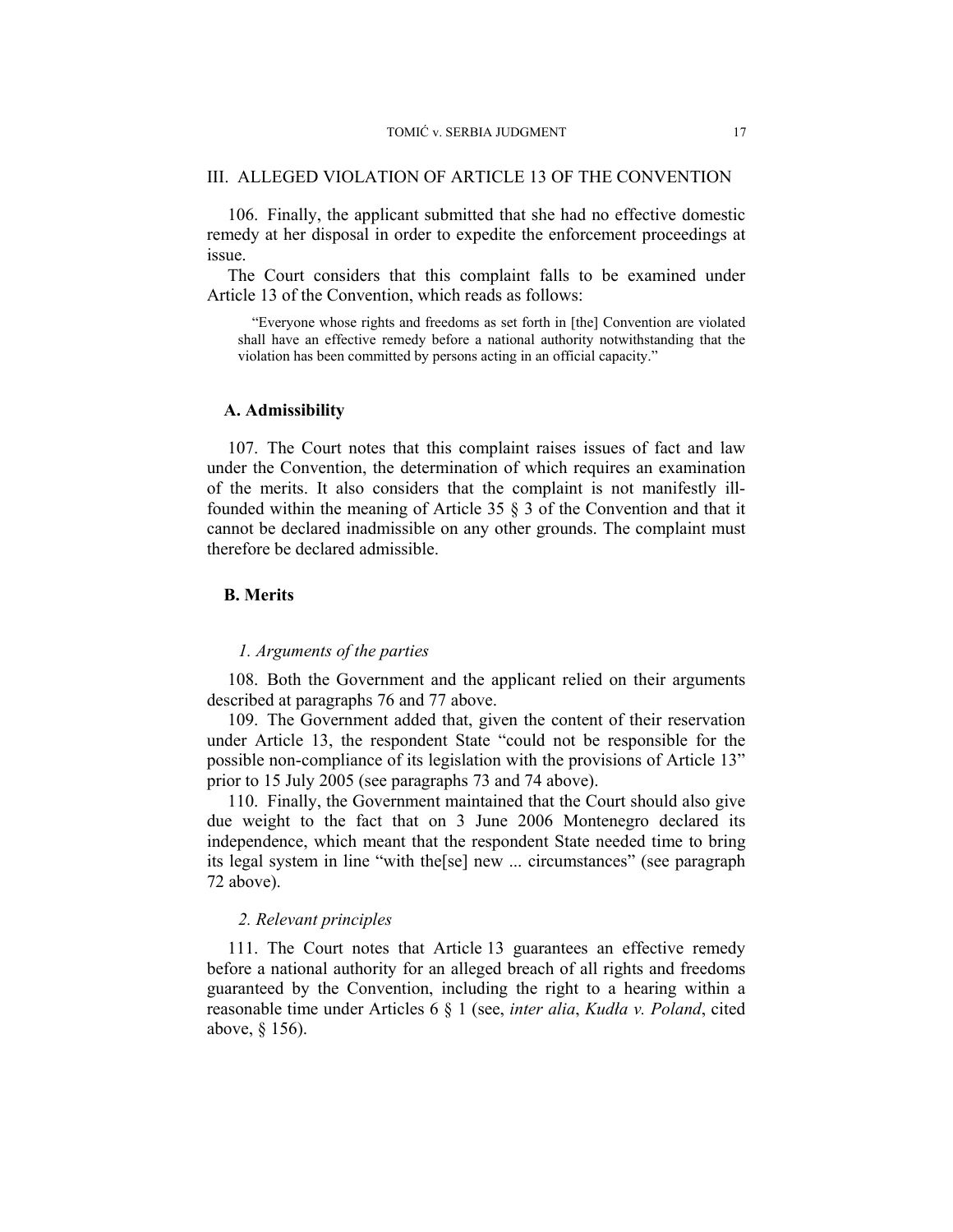#### III. ALLEGED VIOLATION OF ARTICLE 13 OF THE CONVENTION

106. Finally, the applicant submitted that she had no effective domestic remedy at her disposal in order to expedite the enforcement proceedings at issue.

The Court considers that this complaint falls to be examined under Article 13 of the Convention, which reads as follows:

 "Everyone whose rights and freedoms as set forth in [the] Convention are violated shall have an effective remedy before a national authority notwithstanding that the violation has been committed by persons acting in an official capacity."

#### **A. Admissibility**

107. The Court notes that this complaint raises issues of fact and law under the Convention, the determination of which requires an examination of the merits. It also considers that the complaint is not manifestly illfounded within the meaning of Article 35 § 3 of the Convention and that it cannot be declared inadmissible on any other grounds. The complaint must therefore be declared admissible.

## **B. Merits**

#### *1. Arguments of the parties*

108. Both the Government and the applicant relied on their arguments described at paragraphs 76 and 77 above.

109. The Government added that, given the content of their reservation under Article 13, the respondent State "could not be responsible for the possible non-compliance of its legislation with the provisions of Article 13" prior to 15 July 2005 (see paragraphs 73 and 74 above).

110. Finally, the Government maintained that the Court should also give due weight to the fact that on 3 June 2006 Montenegro declared its independence, which meant that the respondent State needed time to bring its legal system in line "with the[se] new ... circumstances" (see paragraph 72 above).

#### *2. Relevant principles*

111. The Court notes that Article 13 guarantees an effective remedy before a national authority for an alleged breach of all rights and freedoms guaranteed by the Convention, including the right to a hearing within a reasonable time under Articles 6 § 1 (see, *inter alia*, *Kudła v. Poland*, cited above, § 156).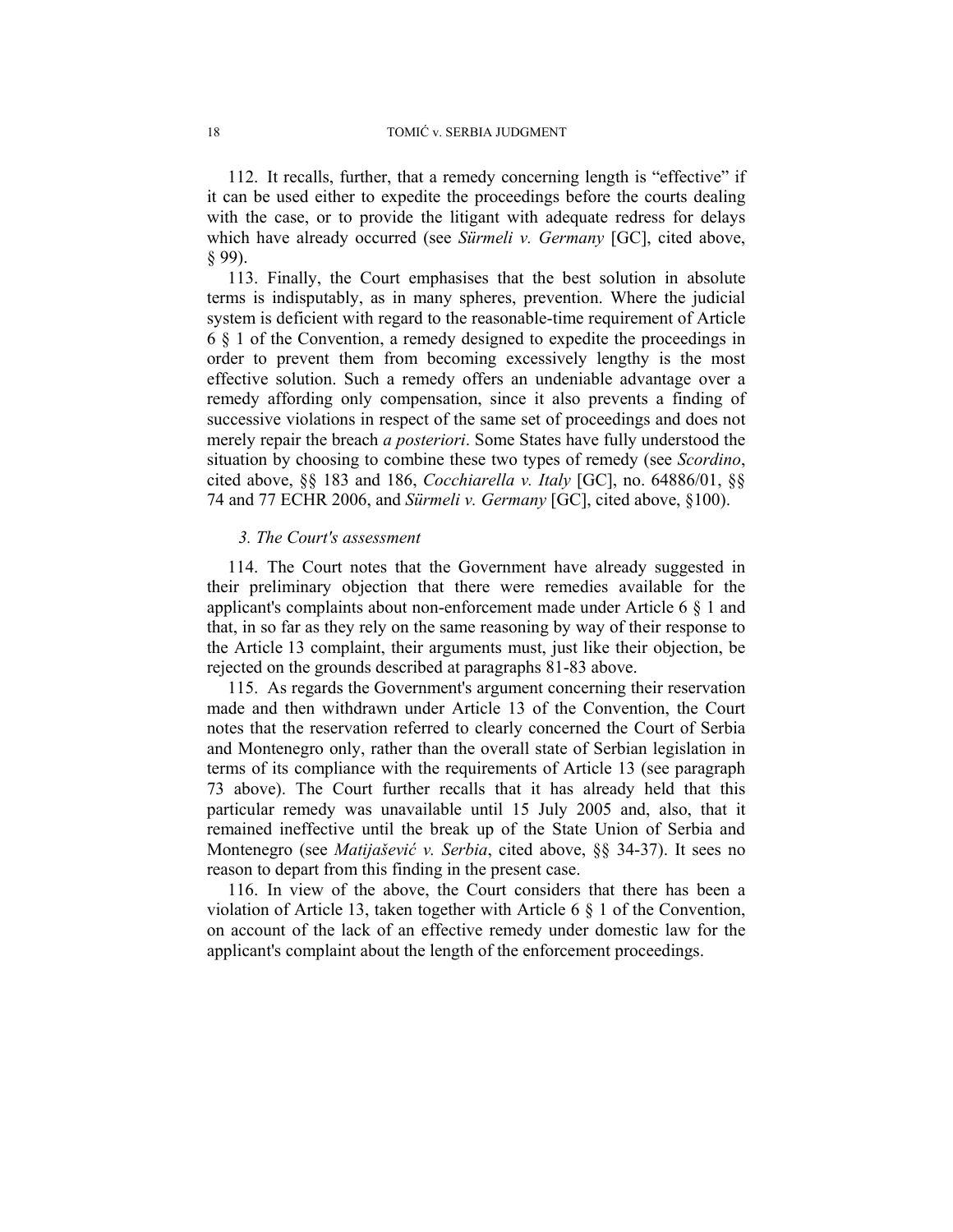112. It recalls, further, that a remedy concerning length is "effective" if it can be used either to expedite the proceedings before the courts dealing with the case, or to provide the litigant with adequate redress for delays which have already occurred (see *Sürmeli v. Germany* [GC], cited above, § 99).

113. Finally, the Court emphasises that the best solution in absolute terms is indisputably, as in many spheres, prevention. Where the judicial system is deficient with regard to the reasonable-time requirement of Article 6 § 1 of the Convention, a remedy designed to expedite the proceedings in order to prevent them from becoming excessively lengthy is the most effective solution. Such a remedy offers an undeniable advantage over a remedy affording only compensation, since it also prevents a finding of successive violations in respect of the same set of proceedings and does not merely repair the breach *a posteriori*. Some States have fully understood the situation by choosing to combine these two types of remedy (see *Scordino*, cited above, §§ 183 and 186, *Cocchiarella v. Italy* [GC], no. 64886/01, §§ 74 and 77 ECHR 2006, and *Sürmeli v. Germany* [GC], cited above, §100).

#### *3. The Court's assessment*

114. The Court notes that the Government have already suggested in their preliminary objection that there were remedies available for the applicant's complaints about non-enforcement made under Article 6 § 1 and that, in so far as they rely on the same reasoning by way of their response to the Article 13 complaint, their arguments must, just like their objection, be rejected on the grounds described at paragraphs 81-83 above.

115. As regards the Government's argument concerning their reservation made and then withdrawn under Article 13 of the Convention, the Court notes that the reservation referred to clearly concerned the Court of Serbia and Montenegro only, rather than the overall state of Serbian legislation in terms of its compliance with the requirements of Article 13 (see paragraph 73 above). The Court further recalls that it has already held that this particular remedy was unavailable until 15 July 2005 and, also, that it remained ineffective until the break up of the State Union of Serbia and Montenegro (see *Matijašević v. Serbia*, cited above, §§ 34-37). It sees no reason to depart from this finding in the present case.

116. In view of the above, the Court considers that there has been a violation of Article 13, taken together with Article 6 § 1 of the Convention, on account of the lack of an effective remedy under domestic law for the applicant's complaint about the length of the enforcement proceedings.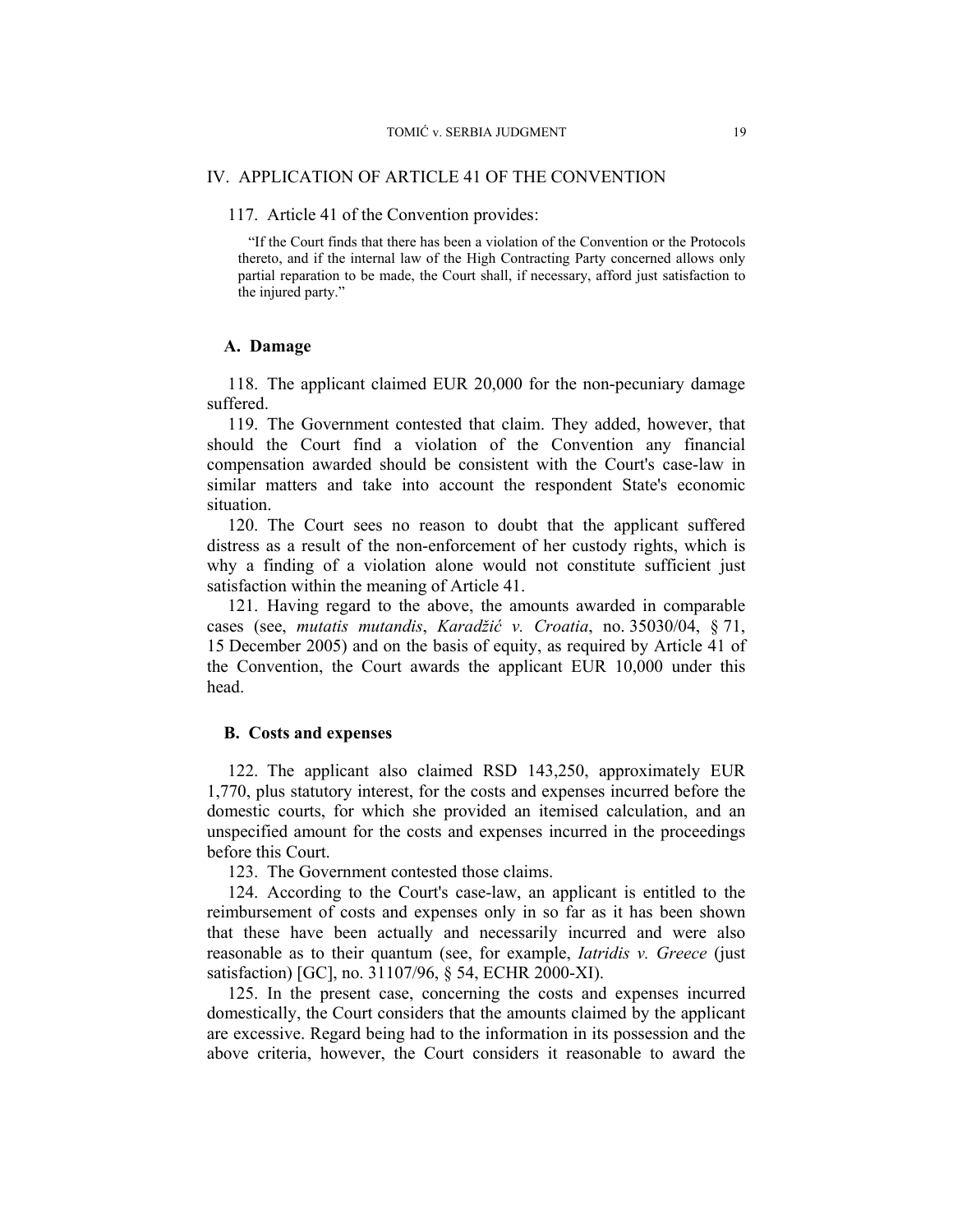#### IV. APPLICATION OF ARTICLE 41 OF THE CONVENTION

### 117. Article 41 of the Convention provides:

"If the Court finds that there has been a violation of the Convention or the Protocols thereto, and if the internal law of the High Contracting Party concerned allows only partial reparation to be made, the Court shall, if necessary, afford just satisfaction to the injured party."

#### **A. Damage**

118. The applicant claimed EUR 20,000 for the non-pecuniary damage suffered.

119. The Government contested that claim. They added, however, that should the Court find a violation of the Convention any financial compensation awarded should be consistent with the Court's case-law in similar matters and take into account the respondent State's economic situation.

120. The Court sees no reason to doubt that the applicant suffered distress as a result of the non-enforcement of her custody rights, which is why a finding of a violation alone would not constitute sufficient just satisfaction within the meaning of Article 41.

121. Having regard to the above, the amounts awarded in comparable cases (see, *mutatis mutandis*, *Karadžić v. Croatia*, no. 35030/04, § 71, 15 December 2005) and on the basis of equity, as required by Article 41 of the Convention, the Court awards the applicant EUR 10,000 under this head.

#### **B. Costs and expenses**

122. The applicant also claimed RSD 143,250, approximately EUR 1,770, plus statutory interest, for the costs and expenses incurred before the domestic courts, for which she provided an itemised calculation, and an unspecified amount for the costs and expenses incurred in the proceedings before this Court.

123. The Government contested those claims.

124. According to the Court's case-law, an applicant is entitled to the reimbursement of costs and expenses only in so far as it has been shown that these have been actually and necessarily incurred and were also reasonable as to their quantum (see, for example, *Iatridis v. Greece* (just satisfaction) [GC], no. 31107/96, § 54, ECHR 2000-XI).

125. In the present case, concerning the costs and expenses incurred domestically, the Court considers that the amounts claimed by the applicant are excessive. Regard being had to the information in its possession and the above criteria, however, the Court considers it reasonable to award the